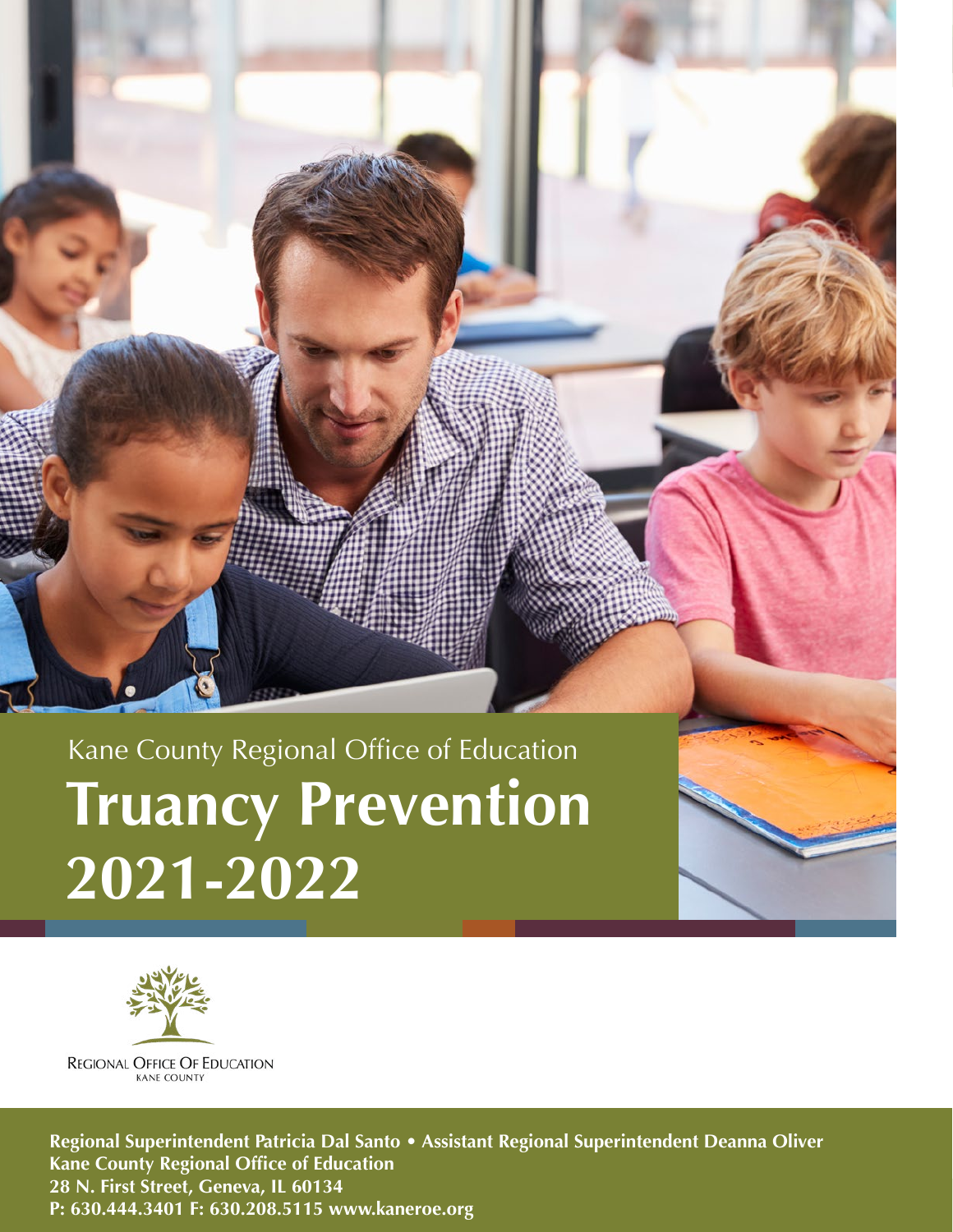# Kane County Regional Office of Education **Truancy Prevention 2021-2022**



**REGIONAL OFFICE OF EDUCATION** KANE COUNTY

**R:** 630.444.3401 F: 630.208.5115 www.kaneroe.org **Product of Education International Office of Education International County of Education International County of Education International County of Education International Regional Superintendent Patricia Dal Santo • Assistant Regional Superintendent Deanna Oliver Kane County Regional Office of Education 28 N. First Street, Geneva, IL 60134**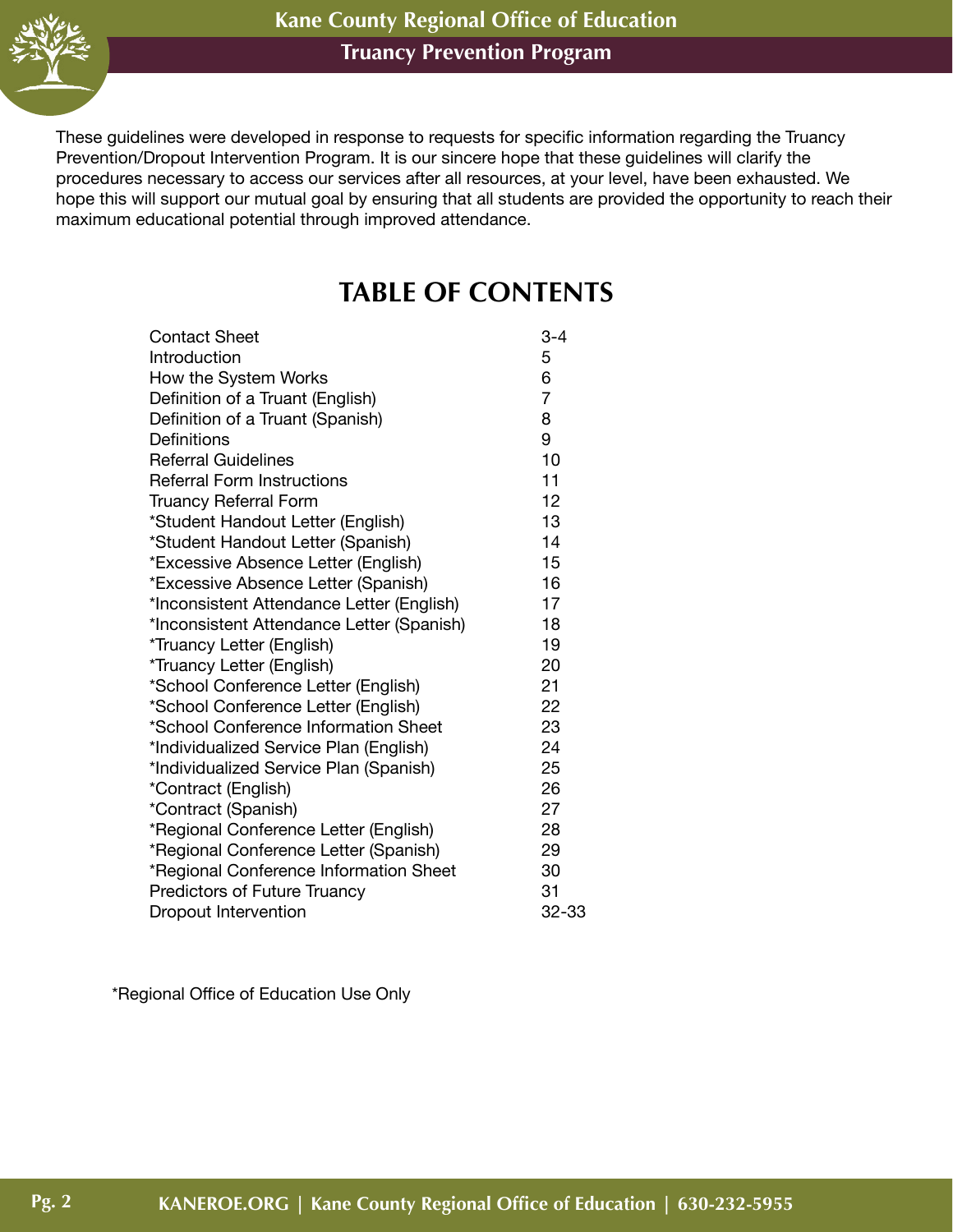

These guidelines were developed in response to requests for specific information regarding the Truancy Prevention/Dropout Intervention Program. It is our sincere hope that these guidelines will clarify the procedures necessary to access our services after all resources, at your level, have been exhausted. We hope this will support our mutual goal by ensuring that all students are provided the opportunity to reach their maximum educational potential through improved attendance.

# **TABLE OF CONTENTS**

| <b>Contact Sheet</b>                      | $3 - 4$        |
|-------------------------------------------|----------------|
| Introduction                              | 5              |
| How the System Works                      | 6              |
| Definition of a Truant (English)          | $\overline{7}$ |
| Definition of a Truant (Spanish)          | 8              |
| Definitions                               | 9              |
| <b>Referral Guidelines</b>                | 10             |
| <b>Referral Form Instructions</b>         | 11             |
| <b>Truancy Referral Form</b>              | 12             |
| *Student Handout Letter (English)         | 13             |
| *Student Handout Letter (Spanish)         | 14             |
| *Excessive Absence Letter (English)       | 15             |
| *Excessive Absence Letter (Spanish)       | 16             |
| *Inconsistent Attendance Letter (English) | 17             |
| *Inconsistent Attendance Letter (Spanish) | 18             |
| *Truancy Letter (English)                 | 19             |
| *Truancy Letter (English)                 | 20             |
| *School Conference Letter (English)       | 21             |
| *School Conference Letter (English)       | 22             |
| *School Conference Information Sheet      | 23             |
| *Individualized Service Plan (English)    | 24             |
| *Individualized Service Plan (Spanish)    | 25             |
| *Contract (English)                       | 26             |
| *Contract (Spanish)                       | 27             |
| *Regional Conference Letter (English)     | 28             |
| *Regional Conference Letter (Spanish)     | 29             |
| *Regional Conference Information Sheet    | 30             |
| <b>Predictors of Future Truancy</b>       | 31             |
| <b>Dropout Intervention</b>               | 32-33          |

\*Regional Office of Education Use Only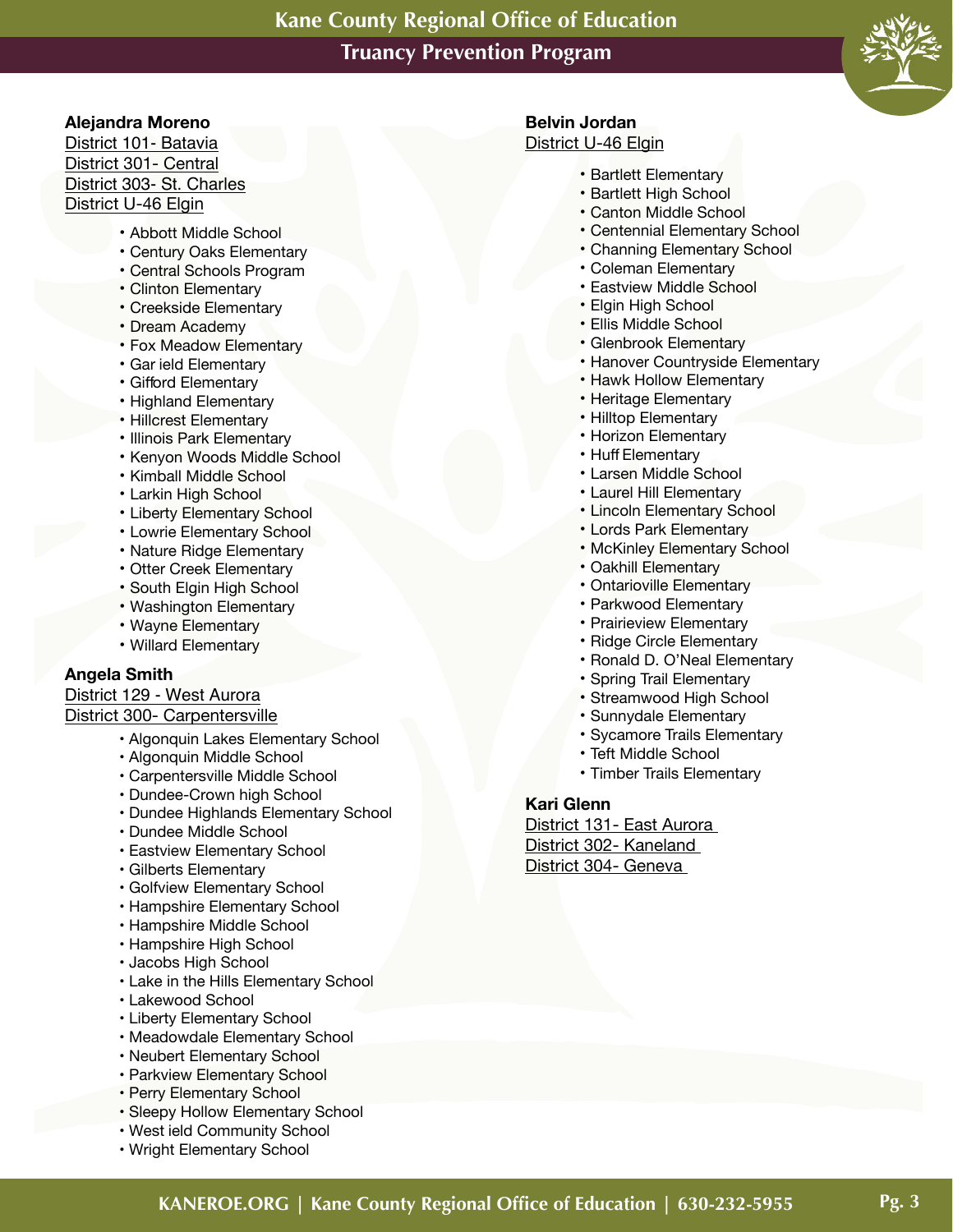

#### **Alejandra Moreno**

District 101- Batavia District 301- Central District 303- St. Charles District U-46 Elgin

- Abbott Middle School
- Century Oaks Elementary
- Central Schools Program
- Clinton Elementary
- Creekside Elementary
- Dream Academy
- Fox Meadow Elementary
- Gar ield Elementary
- Gifford Elementary
- Highland Elementary
- Hillcrest Elementary
- Illinois Park Elementary
- Kenyon Woods Middle School
- Kimball Middle School
- Larkin High School
- Liberty Elementary School
- Lowrie Elementary School
- Nature Ridge Elementary
- Otter Creek Elementary
- South Elgin High School
- Washington Elementary
- Wayne Elementary
- Willard Elementary

#### **Angela Smith**

#### District 129 - West Aurora District 300- Carpentersville

- - Algonquin Lakes Elementary School
	- Algonquin Middle School
	- Carpentersville Middle School
	- Dundee-Crown high School
	- Dundee Highlands Elementary School
	- Dundee Middle School
	- Eastview Elementary School
	- Gilberts Elementary
	- Golfview Elementary School
	- Hampshire Elementary School
	- Hampshire Middle School
	- Hampshire High School
	- Jacobs High School
	- Lake in the Hills Elementary School
	- Lakewood School
	- Liberty Elementary School
	- Meadowdale Elementary School
	- Neubert Elementary School
	- Parkview Elementary School
	- Perry Elementary School
	- Sleepy Hollow Elementary School
	- West ield Community School
	- Wright Elementary School

# **Belvin Jordan**

#### District U-46 Elgin

- Bartlett Elementary
- Bartlett High School
- Canton Middle School
- Centennial Elementary School
- Channing Elementary School
- Coleman Elementary
- Eastview Middle School
- Elgin High School
- Ellis Middle School
- Glenbrook Elementary
- Hanover Countryside Elementary
- Hawk Hollow Elementary
- Heritage Elementary
- Hilltop Elementary
- Horizon Elementary
- Huff Elementary
- Larsen Middle School
- Laurel Hill Elementary
- Lincoln Elementary School
- Lords Park Elementary
- McKinley Elementary School
- Oakhill Elementary
- Ontarioville Elementary
- Parkwood Elementary
- Prairieview Elementary
- Ridge Circle Elementary
- Ronald D. O'Neal Elementary
- Spring Trail Elementary
- Streamwood High School
- Sunnydale Elementary
- Sycamore Trails Elementary
- Teft Middle School
- Timber Trails Elementary

#### **Kari Glenn**

District 131- East Aurora District 302- Kaneland District 304- Geneva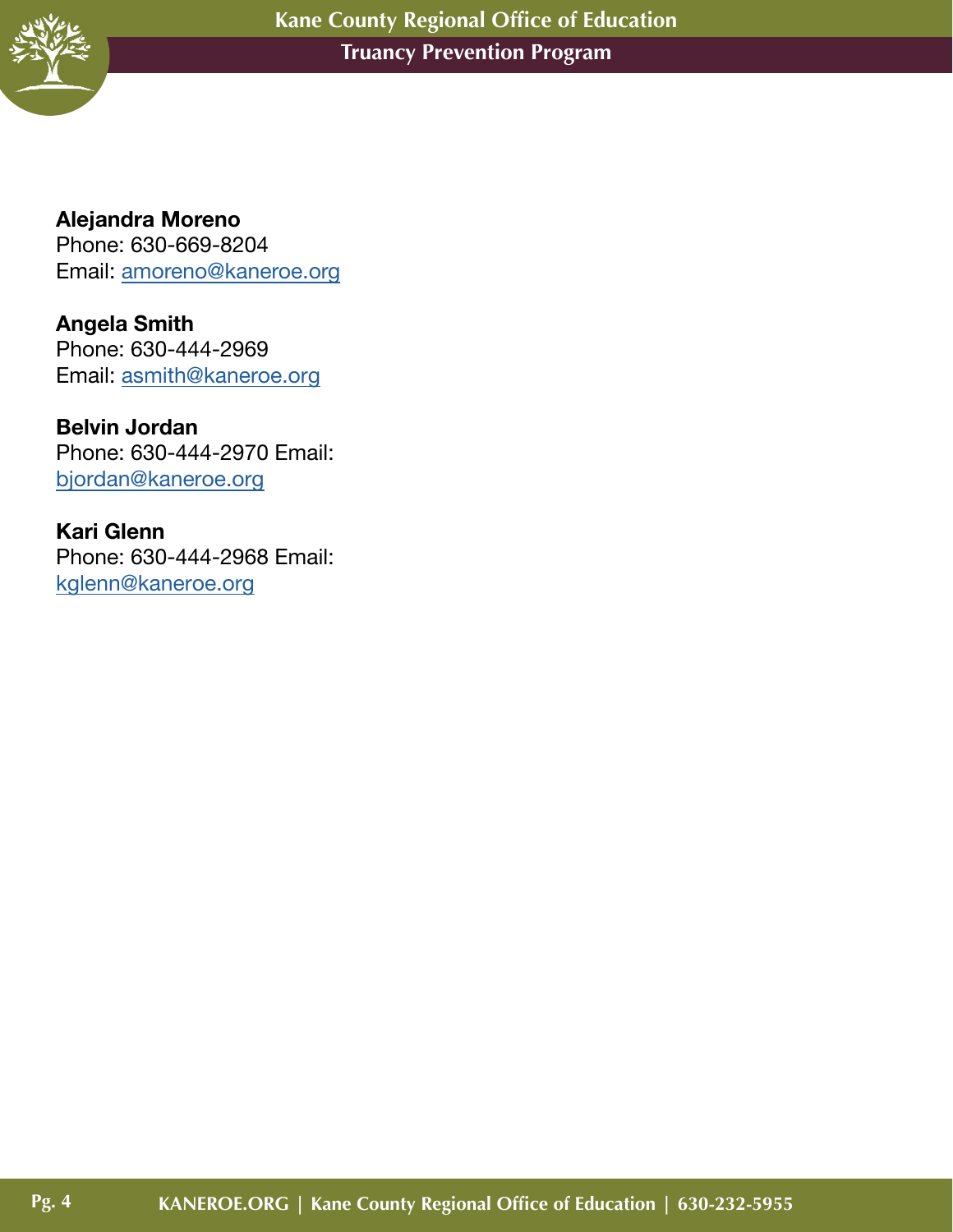

**Pg. 4**

**Alejandra Moreno**  Phone: 630-669-8204 Email: [amoreno@kaneroe.org](mailto:amoreno%40kaneroe.org%20?subject=) 

**Angela Smith** Phone: 630-444-2969 Email: [asmith@kaneroe.org](mailto:asmith%40kaneroe.org?subject=)

**Belvin Jordan**  Phone: 630-444-2970 Email: [bjordan@kaneroe.org](mailto:bjordan%40kaneroe.org?subject=)

**Kari Glenn** Phone: 630-444-2968 Email: [kglenn@kaneroe.org](mailto:kglenn%40kaneroe.org?subject=)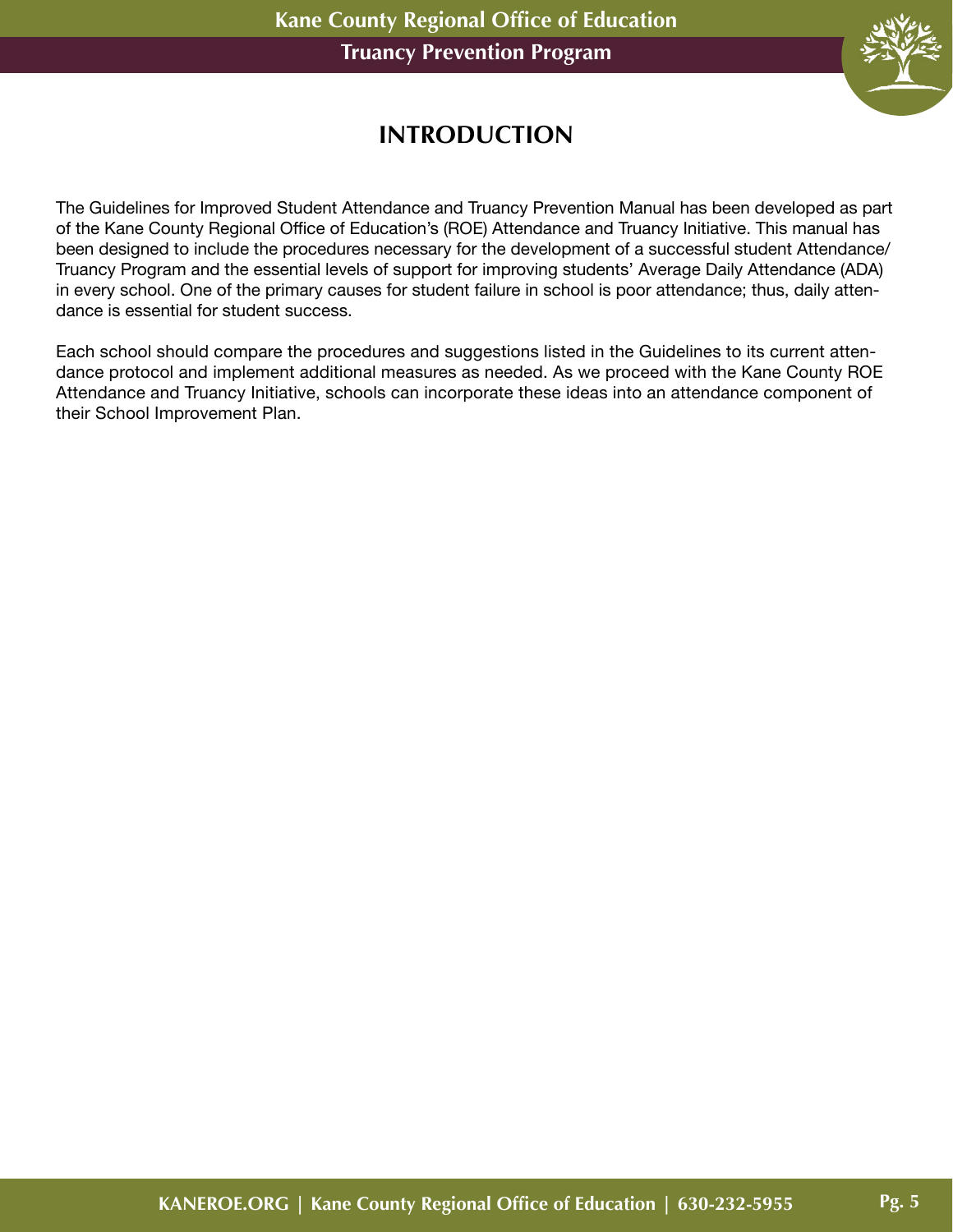

# **INTRODUCTION**

The Guidelines for Improved Student Attendance and Truancy Prevention Manual has been developed as part of the Kane County Regional Office of Education's (ROE) Attendance and Truancy Initiative. This manual has been designed to include the procedures necessary for the development of a successful student Attendance/ Truancy Program and the essential levels of support for improving students' Average Daily Attendance (ADA) in every school. One of the primary causes for student failure in school is poor attendance; thus, daily attendance is essential for student success.

Each school should compare the procedures and suggestions listed in the Guidelines to its current attendance protocol and implement additional measures as needed. As we proceed with the Kane County ROE Attendance and Truancy Initiative, schools can incorporate these ideas into an attendance component of their School Improvement Plan.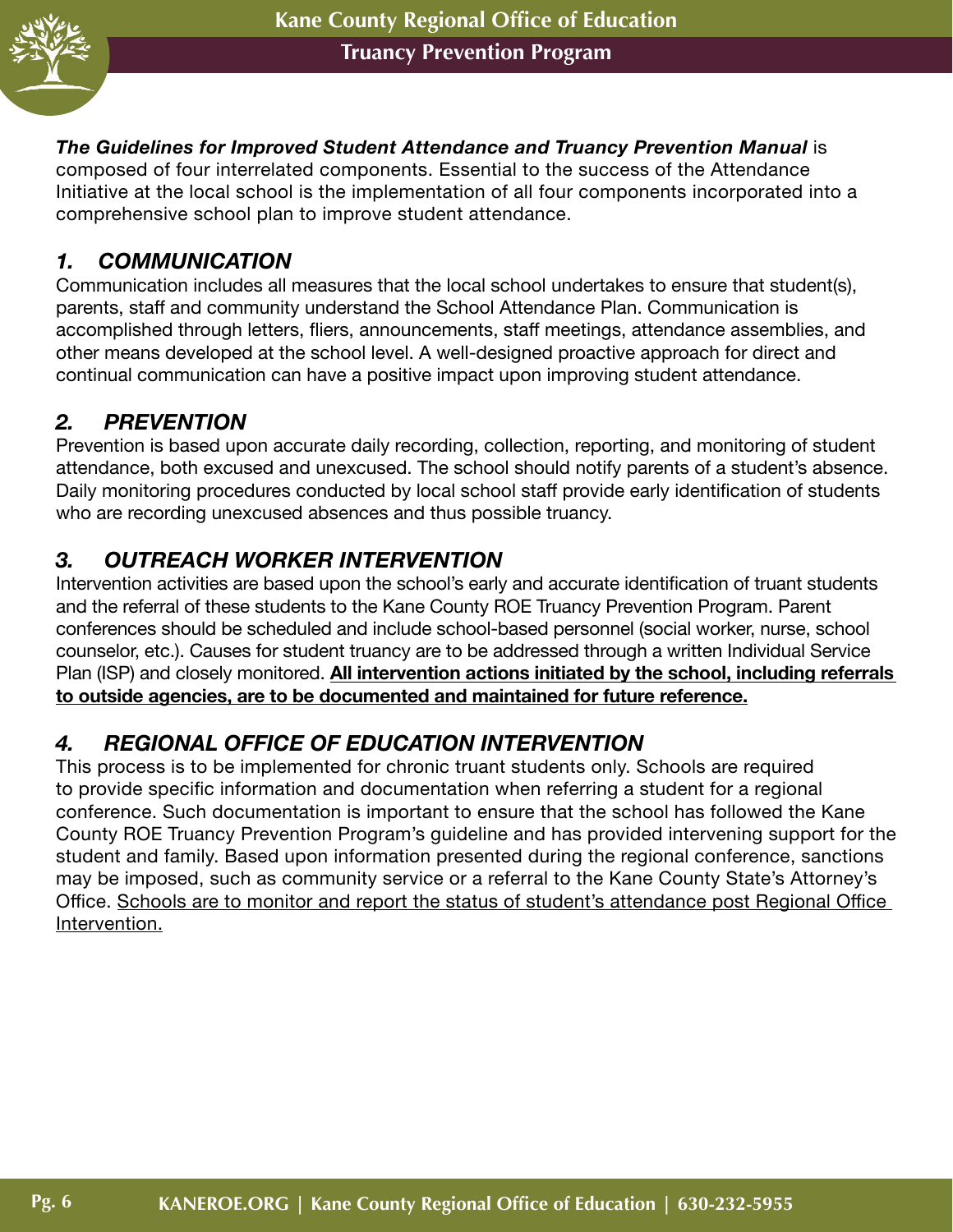

#### *The Guidelines for Improved Student Attendance and Truancy Prevention Manual* is

composed of four interrelated components. Essential to the success of the Attendance Initiative at the local school is the implementation of all four components incorporated into a comprehensive school plan to improve student attendance.

#### *1. COMMUNICATION*

Communication includes all measures that the local school undertakes to ensure that student(s), parents, staff and community understand the School Attendance Plan. Communication is accomplished through letters, fliers, announcements, staff meetings, attendance assemblies, and other means developed at the school level. A well-designed proactive approach for direct and continual communication can have a positive impact upon improving student attendance.

# *2. PREVENTION*

Prevention is based upon accurate daily recording, collection, reporting, and monitoring of student attendance, both excused and unexcused. The school should notify parents of a student's absence. Daily monitoring procedures conducted by local school staff provide early identification of students who are recording unexcused absences and thus possible truancy.

#### *3. OUTREACH WORKER INTERVENTION*

Intervention activities are based upon the school's early and accurate identification of truant students and the referral of these students to the Kane County ROE Truancy Prevention Program. Parent conferences should be scheduled and include school-based personnel (social worker, nurse, school counselor, etc.). Causes for student truancy are to be addressed through a written Individual Service Plan (ISP) and closely monitored. **All intervention actions initiated by the school, including referrals to outside agencies, are to be documented and maintained for future reference.**

#### *4. REGIONAL OFFICE OF EDUCATION INTERVENTION*

This process is to be implemented for chronic truant students only. Schools are required to provide specific information and documentation when referring a student for a regional conference. Such documentation is important to ensure that the school has followed the Kane County ROE Truancy Prevention Program's guideline and has provided intervening support for the student and family. Based upon information presented during the regional conference, sanctions may be imposed, such as community service or a referral to the Kane County State's Attorney's Office. Schools are to monitor and report the status of student's attendance post Regional Office Intervention.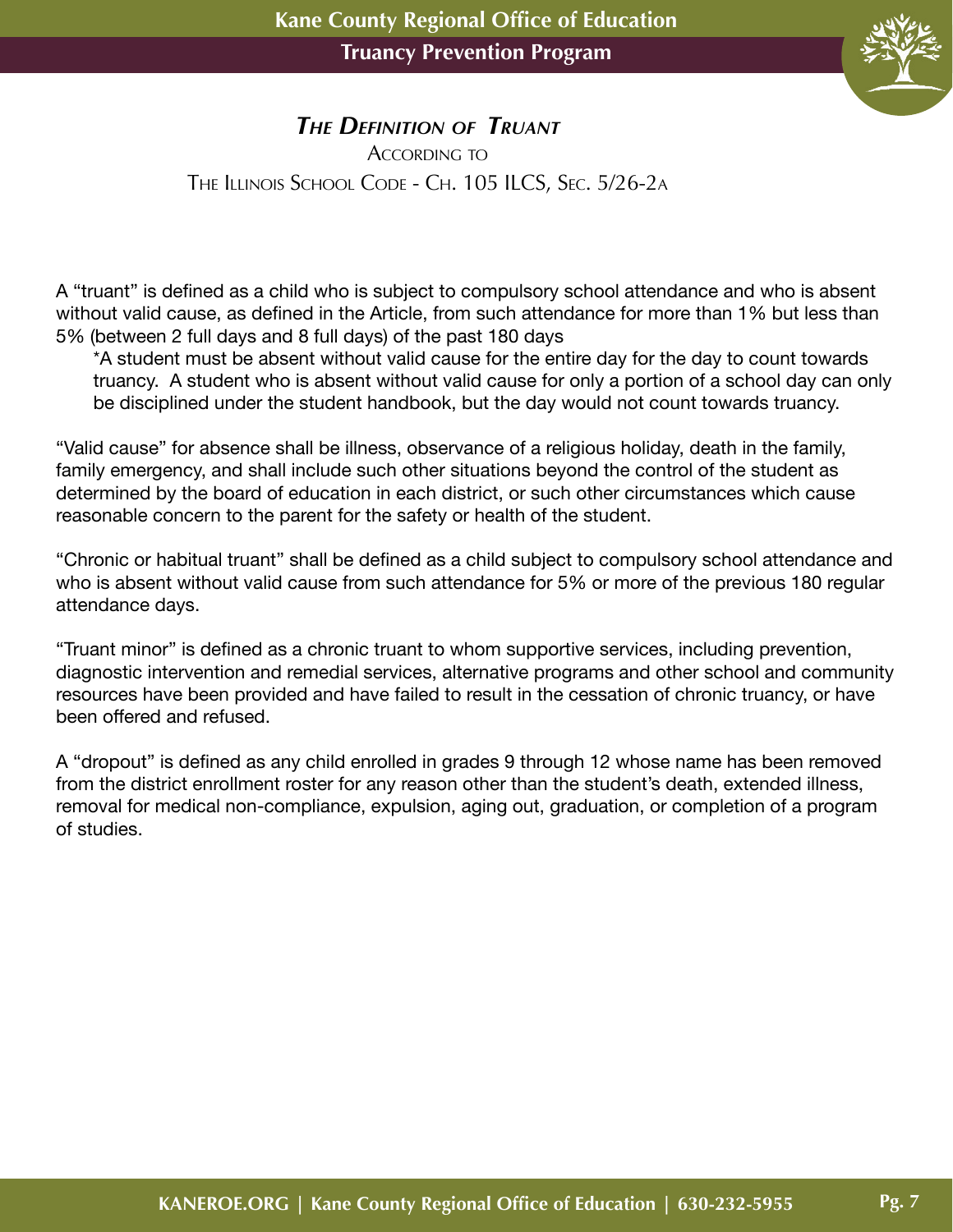

#### *The Definition of Truant*

ACCORDING TO The Illinois School Code - Ch. 105 ILCS, Sec. 5/26-2a

A "truant" is defined as a child who is subject to compulsory school attendance and who is absent without valid cause, as defined in the Article, from such attendance for more than 1% but less than 5% (between 2 full days and 8 full days) of the past 180 days

\*A student must be absent without valid cause for the entire day for the day to count towards truancy. A student who is absent without valid cause for only a portion of a school day can only be disciplined under the student handbook, but the day would not count towards truancy.

"Valid cause" for absence shall be illness, observance of a religious holiday, death in the family, family emergency, and shall include such other situations beyond the control of the student as determined by the board of education in each district, or such other circumstances which cause reasonable concern to the parent for the safety or health of the student.

"Chronic or habitual truant" shall be defined as a child subject to compulsory school attendance and who is absent without valid cause from such attendance for 5% or more of the previous 180 regular attendance days.

"Truant minor" is defined as a chronic truant to whom supportive services, including prevention, diagnostic intervention and remedial services, alternative programs and other school and community resources have been provided and have failed to result in the cessation of chronic truancy, or have been offered and refused.

A "dropout" is defined as any child enrolled in grades 9 through 12 whose name has been removed from the district enrollment roster for any reason other than the student's death, extended illness, removal for medical non-compliance, expulsion, aging out, graduation, or completion of a program of studies.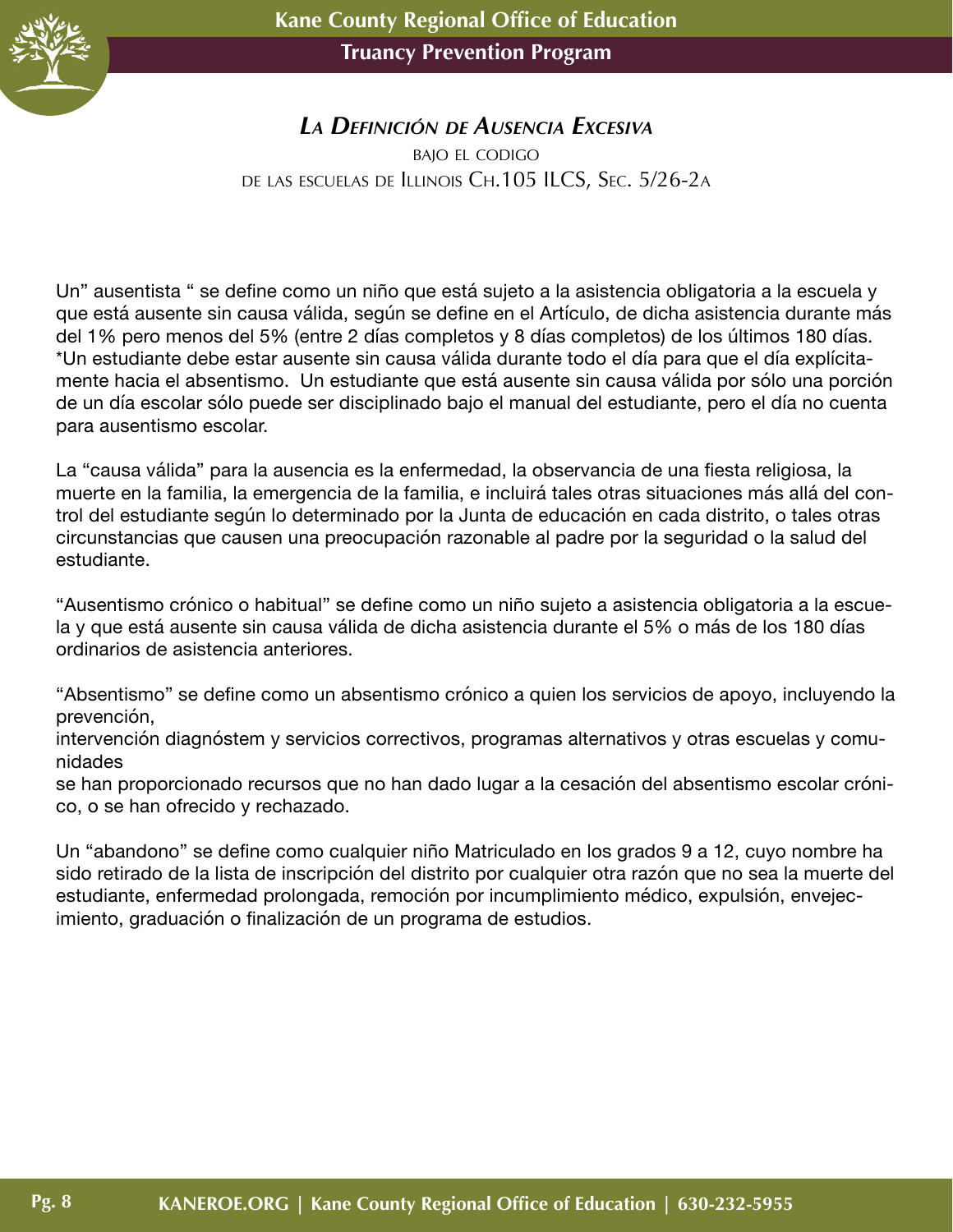

#### *La Definición de Ausencia Excesiva*

bajo el codigo de las escuelas de Illinois Ch.105 ILCS, Sec. 5/26-2a

Un" ausentista " se define como un niño que está sujeto a la asistencia obligatoria a la escuela y que está ausente sin causa válida, según se define en el Artículo, de dicha asistencia durante más del 1% pero menos del 5% (entre 2 días completos y 8 días completos) de los últimos 180 días. \*Un estudiante debe estar ausente sin causa válida durante todo el día para que el día explícitamente hacia el absentismo. Un estudiante que está ausente sin causa válida por sólo una porción de un día escolar sólo puede ser disciplinado bajo el manual del estudiante, pero el día no cuenta para ausentismo escolar.

La "causa válida" para la ausencia es la enfermedad, la observancia de una fiesta religiosa, la muerte en la familia, la emergencia de la familia, e incluirá tales otras situaciones más allá del control del estudiante según lo determinado por la Junta de educación en cada distrito, o tales otras circunstancias que causen una preocupación razonable al padre por la seguridad o la salud del estudiante.

"Ausentismo crónico o habitual" se define como un niño sujeto a asistencia obligatoria a la escuela y que está ausente sin causa válida de dicha asistencia durante el 5% o más de los 180 días ordinarios de asistencia anteriores.

"Absentismo" se define como un absentismo crónico a quien los servicios de apoyo, incluyendo la prevención,

intervención diagnóstem y servicios correctivos, programas alternativos y otras escuelas y comunidades

se han proporcionado recursos que no han dado lugar a la cesación del absentismo escolar crónico, o se han ofrecido y rechazado.

Un "abandono" se define como cualquier niño Matriculado en los grados 9 a 12, cuyo nombre ha sido retirado de la lista de inscripción del distrito por cualquier otra razón que no sea la muerte del estudiante, enfermedad prolongada, remoción por incumplimiento médico, expulsión, envejecimiento, graduación o finalización de un programa de estudios.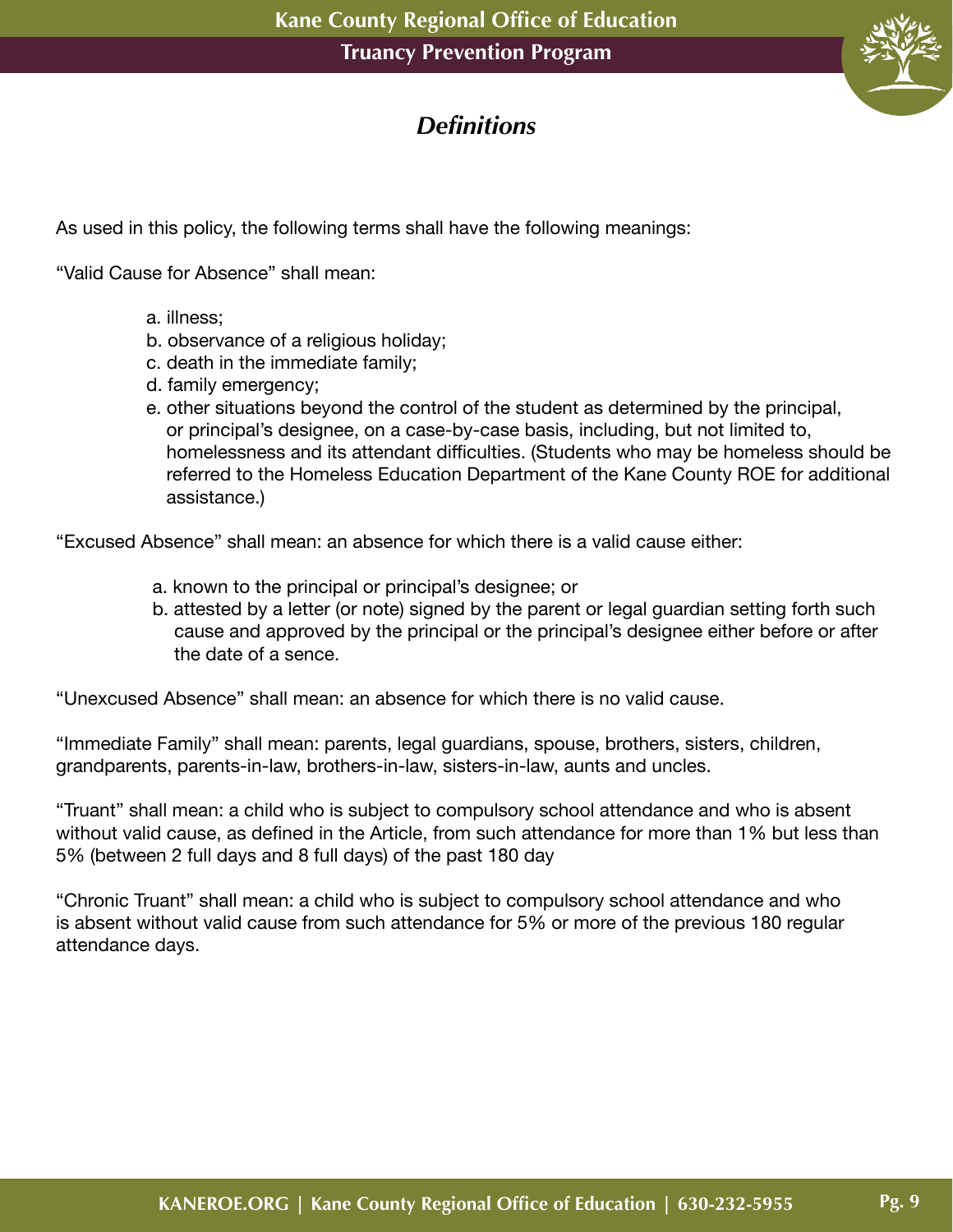

# *Definitions*

As used in this policy, the following terms shall have the following meanings:

"Valid Cause for Absence" shall mean:

- a. illness;
- b. observance of a religious holiday;
- c. death in the immediate family;
- d. family emergency;
- e. other situations beyond the control of the student as determined by the principal, or principal's designee, on a case-by-case basis, including, but not limited to, homelessness and its attendant difficulties. (Students who may be homeless should be referred to the Homeless Education Department of the Kane County ROE for additional assistance.)

"Excused Absence" shall mean: an absence for which there is a valid cause either:

- a. known to the principal or principal's designee; or
- b. attested by a letter (or note) signed by the parent or legal guardian setting forth such cause and approved by the principal or the principal's designee either before or after the date of a sence.

"Unexcused Absence" shall mean: an absence for which there is no valid cause.

"Immediate Family" shall mean: parents, legal guardians, spouse, brothers, sisters, children, grandparents, parents-in-law, brothers-in-law, sisters-in-law, aunts and uncles.

"Truant" shall mean: a child who is subject to compulsory school attendance and who is absent without valid cause, as defined in the Article, from such attendance for more than 1% but less than 5% (between 2 full days and 8 full days) of the past 180 day

"Chronic Truant" shall mean: a child who is subject to compulsory school attendance and who is absent without valid cause from such attendance for 5% or more of the previous 180 regular attendance days.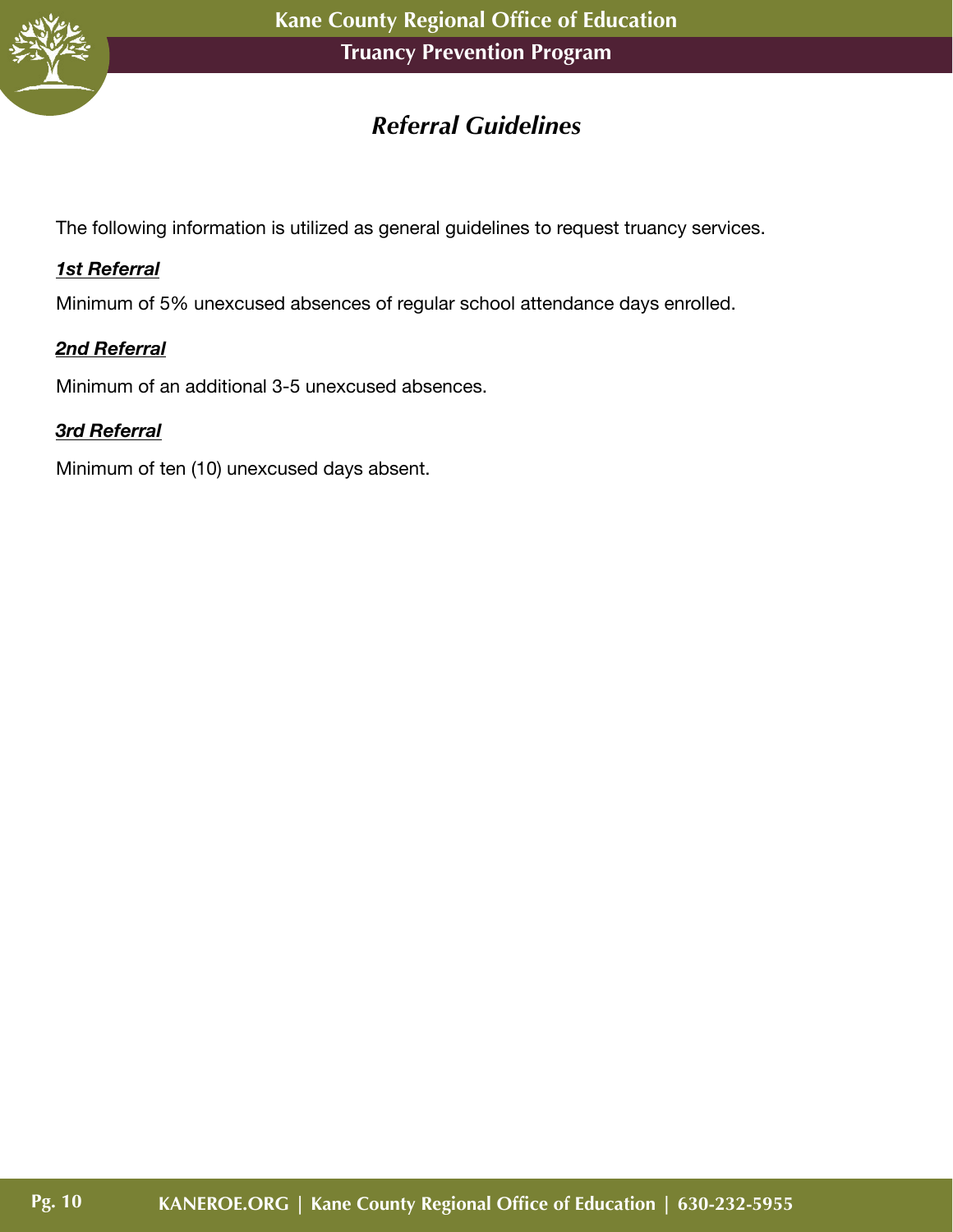

# *Referral Guidelines*

The following information is utilized as general guidelines to request truancy services.

#### *1st Referral*

Minimum of 5% unexcused absences of regular school attendance days enrolled.

#### *2nd Referral*

Minimum of an additional 3-5 unexcused absences.

#### *3rd Referral*

Minimum of ten (10) unexcused days absent.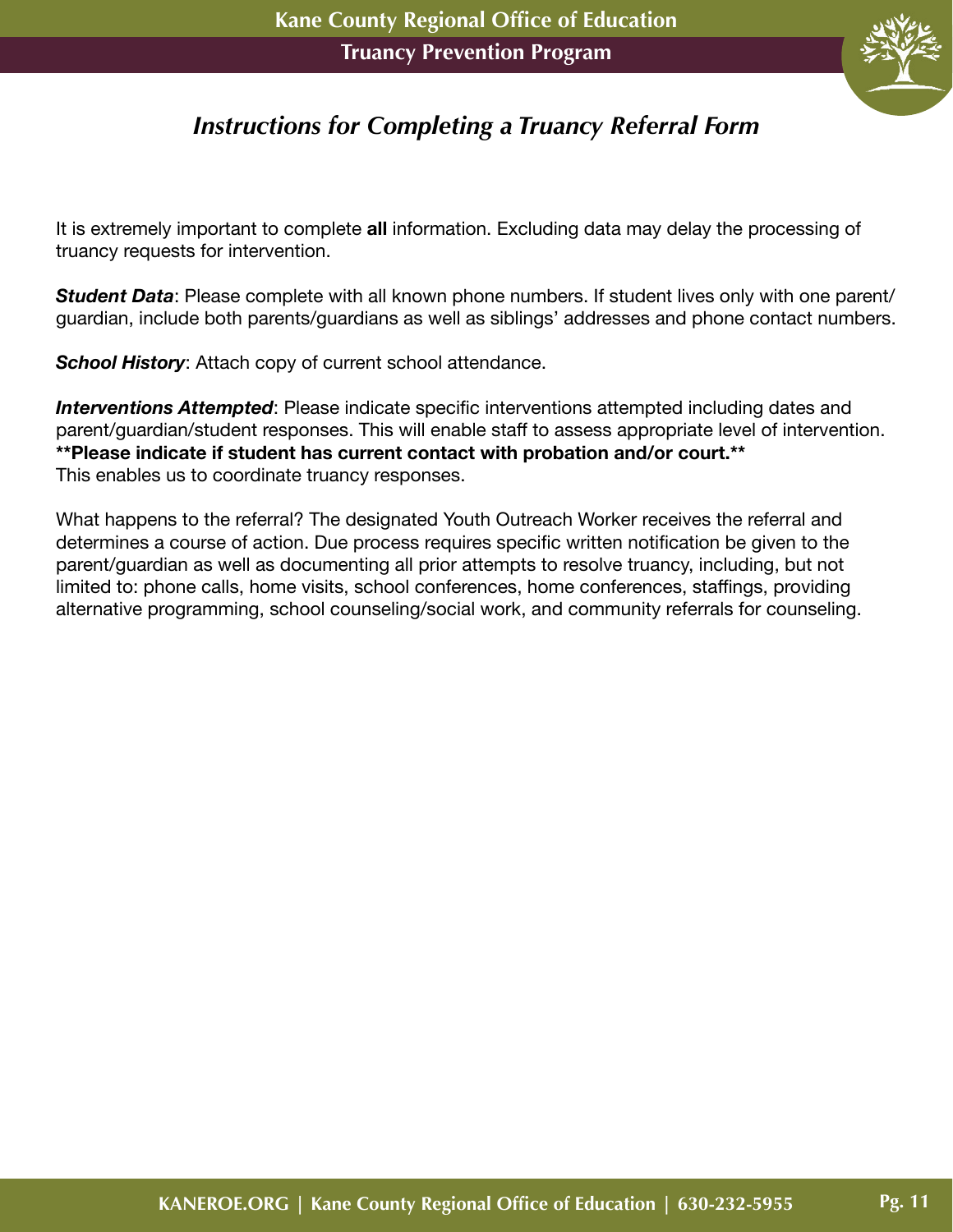

# *Instructions for Completing a Truancy Referral Form*

It is extremely important to complete **all** information. Excluding data may delay the processing of truancy requests for intervention.

*Student Data*: Please complete with all known phone numbers. If student lives only with one parent/ guardian, include both parents/guardians as well as siblings' addresses and phone contact numbers.

**School History:** Attach copy of current school attendance.

*Interventions Attempted*: Please indicate specific interventions attempted including dates and parent/guardian/student responses. This will enable staff to assess appropriate level of intervention. **\*\*Please indicate if student has current contact with probation and/or court.\*\*** This enables us to coordinate truancy responses.

What happens to the referral? The designated Youth Outreach Worker receives the referral and determines a course of action. Due process requires specific written notification be given to the parent/guardian as well as documenting all prior attempts to resolve truancy, including, but not limited to: phone calls, home visits, school conferences, home conferences, staffings, providing alternative programming, school counseling/social work, and community referrals for counseling.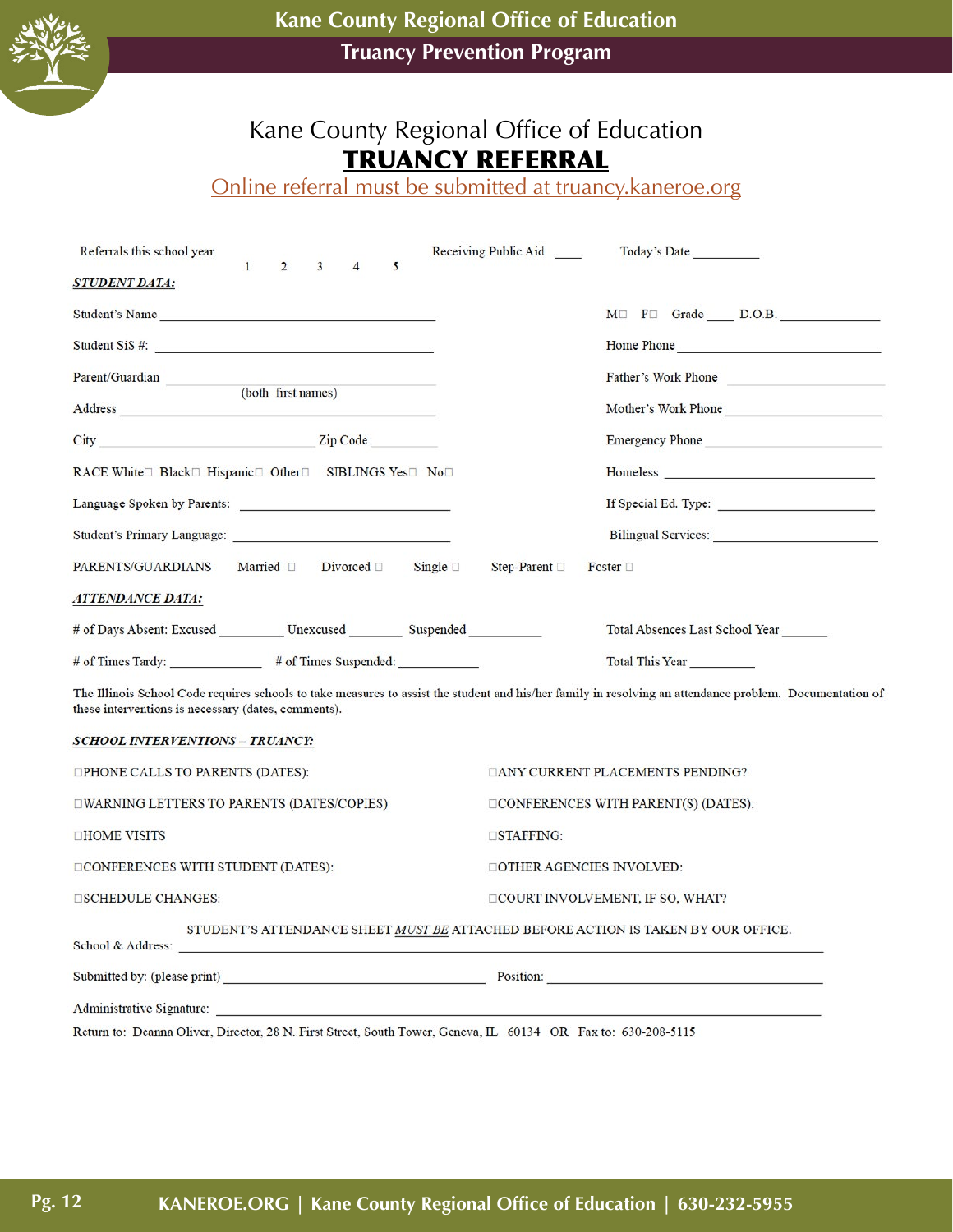

# Kane County Regional Office of Education TRUANCY REFERRAL

Online referral must be submitted at truancy.kaneroe.org

| Referrals this school year                                                                                                                   | $\mathbf{1}$       | $\overline{2}$ | 3 | $\overline{4}$ | 5 |                  | Receiving Public Aid | Today's Date                                                                                                                                             |
|----------------------------------------------------------------------------------------------------------------------------------------------|--------------------|----------------|---|----------------|---|------------------|----------------------|----------------------------------------------------------------------------------------------------------------------------------------------------------|
| <i><b>STUDENT DATA:</b></i>                                                                                                                  |                    |                |   |                |   |                  |                      |                                                                                                                                                          |
| Student's Name                                                                                                                               |                    |                |   |                |   |                  |                      | MI FII Grade D.O.B.                                                                                                                                      |
| Student SiS #:                                                                                                                               |                    |                |   |                |   |                  |                      | Home Phone                                                                                                                                               |
| Parent/Guardian                                                                                                                              | (both first names) |                |   |                |   |                  |                      | Father's Work Phone                                                                                                                                      |
|                                                                                                                                              |                    |                |   |                |   |                  |                      | Mother's Work Phone                                                                                                                                      |
| Zip Code<br>City                                                                                                                             |                    |                |   |                |   |                  |                      | <b>Emergency Phone</b>                                                                                                                                   |
| RACE White <sup>[1]</sup> Black <sup>[1]</sup> Hispanic <sup>[1]</sup> Other <sup>[1]</sup> SIBLINGS Yes <sup>[11]</sup> No <sup>[11</sup> ] |                    |                |   |                |   |                  |                      |                                                                                                                                                          |
|                                                                                                                                              |                    |                |   |                |   |                  |                      |                                                                                                                                                          |
|                                                                                                                                              |                    |                |   |                |   |                  |                      |                                                                                                                                                          |
| PARENTS/GUARDIANS Married □ Divorced □                                                                                                       |                    |                |   |                |   | Single $\square$ | Step-Parent □        | Foster $\square$                                                                                                                                         |
| <i><b>ATTENDANCE DATA:</b></i>                                                                                                               |                    |                |   |                |   |                  |                      |                                                                                                                                                          |
| # of Days Absent: Excused ___________ Unexcused __________ Suspended                                                                         |                    |                |   |                |   |                  |                      | Total Absences Last School Year                                                                                                                          |
|                                                                                                                                              |                    |                |   |                |   |                  |                      | Total This Year                                                                                                                                          |
| these interventions is necessary (dates, comments).                                                                                          |                    |                |   |                |   |                  |                      | The Illinois School Code requires schools to take measures to assist the student and his/her family in resolving an attendance problem. Documentation of |
| SCHOOL INTERVENTIONS - TRUANCY:                                                                                                              |                    |                |   |                |   |                  |                      |                                                                                                                                                          |
| □PHONE CALLS TO PARENTS (DATES):                                                                                                             |                    |                |   |                |   |                  |                      | <b>TANY CURRENT PLACEMENTS PENDING?</b>                                                                                                                  |
| □WARNING LETTERS TO PARENTS (DATES/COPIES)                                                                                                   |                    |                |   |                |   |                  |                      | $\Box$ CONFERENCES WITH PARENT(S) (DATES):                                                                                                               |
| <b>DHOME VISITS</b>                                                                                                                          |                    |                |   |                |   |                  | $\square$ STAFFING:  |                                                                                                                                                          |
| DCONFERENCES WITH STUDENT (DATES):                                                                                                           |                    |                |   |                |   |                  |                      | <b>DOTHER AGENCIES INVOLVED:</b>                                                                                                                         |
| <b>ESCHEDULE CHANGES:</b>                                                                                                                    |                    |                |   |                |   |                  |                      | <b>COURT INVOLVEMENT, IF SO, WHAT?</b>                                                                                                                   |
| School & Address:                                                                                                                            |                    |                |   |                |   |                  |                      | STUDENT'S ATTENDANCE SHEET MUST BE ATTACHED BEFORE ACTION IS TAKEN BY OUR OFFICE.                                                                        |
| Submitted by: (please print)                                                                                                                 |                    |                |   |                |   |                  | Position:            |                                                                                                                                                          |

Return to: Deanna Oliver, Director, 28 N. First Street, South Tower, Geneva, IL 60134 OR Fax to: 630-208-5115

Administrative Signature: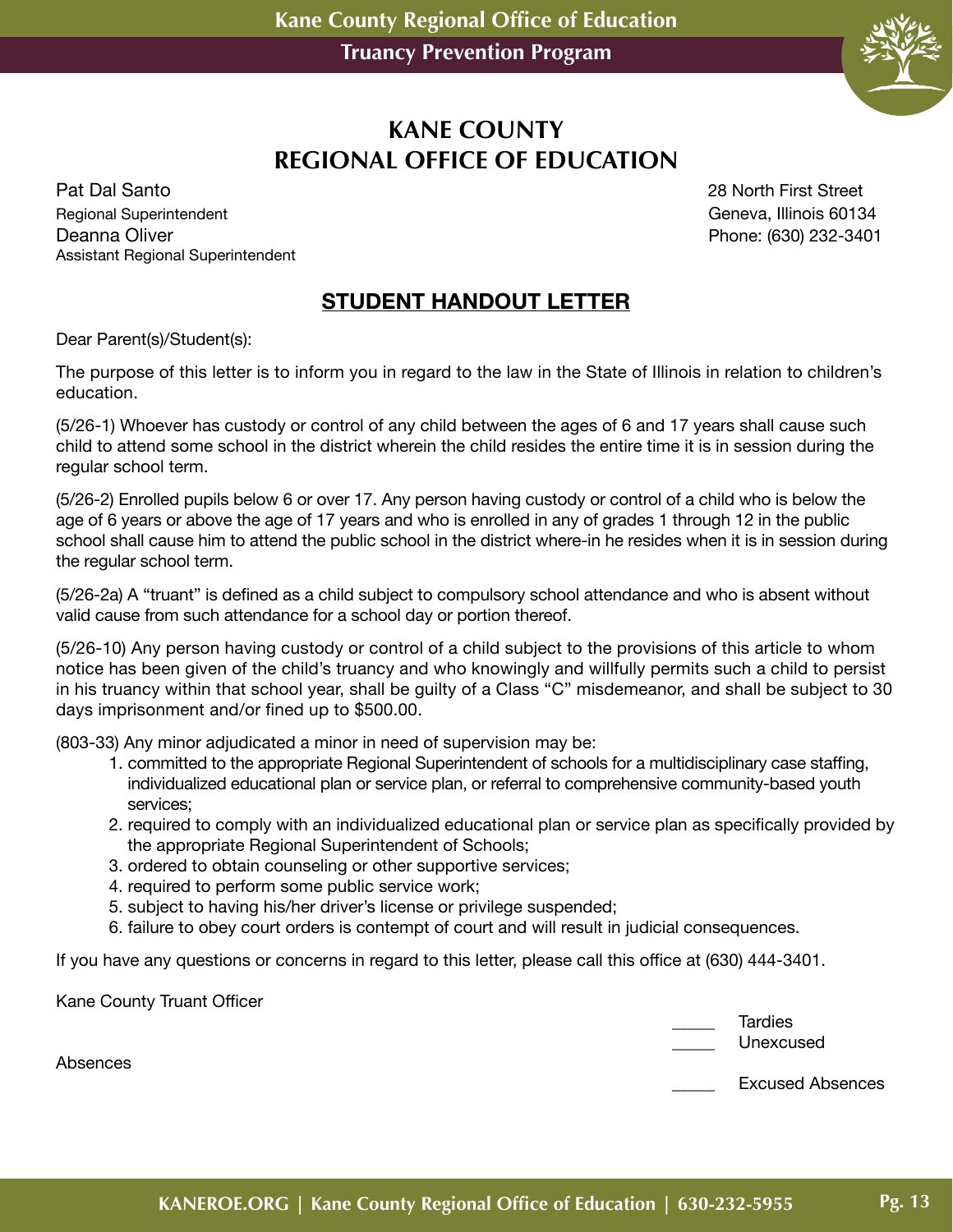

## **KANE COUNTY REGIONAL OFFICE OF EDUCATION**

Pat Dal Santo 28 North First Street Regional Superintendent Geneva, Illinois 60134 Deanna Oliver **Phone:** (630) 232-3401 Assistant Regional Superintendent

#### **STUDENT HANDOUT LETTER**

Dear Parent(s)/Student(s):

The purpose of this letter is to inform you in regard to the law in the State of Illinois in relation to children's education.

(5/26-1) Whoever has custody or control of any child between the ages of 6 and 17 years shall cause such child to attend some school in the district wherein the child resides the entire time it is in session during the regular school term.

(5/26-2) Enrolled pupils below 6 or over 17. Any person having custody or control of a child who is below the age of 6 years or above the age of 17 years and who is enrolled in any of grades 1 through 12 in the public school shall cause him to attend the public school in the district where-in he resides when it is in session during the regular school term.

(5/26-2a) A "truant" is defined as a child subject to compulsory school attendance and who is absent without valid cause from such attendance for a school day or portion thereof.

(5/26-10) Any person having custody or control of a child subject to the provisions of this article to whom notice has been given of the child's truancy and who knowingly and willfully permits such a child to persist in his truancy within that school year, shall be guilty of a Class "C" misdemeanor, and shall be subject to 30 days imprisonment and/or fined up to \$500.00.

(803-33) Any minor adjudicated a minor in need of supervision may be:

- 1. committed to the appropriate Regional Superintendent of schools for a multidisciplinary case staffing, individualized educational plan or service plan, or referral to comprehensive community-based youth services;
- 2. required to comply with an individualized educational plan or service plan as specifically provided by the appropriate Regional Superintendent of Schools;
- 3. ordered to obtain counseling or other supportive services;
- 4. required to perform some public service work;
- 5. subject to having his/her driver's license or privilege suspended;
- 6. failure to obey court orders is contempt of court and will result in judicial consequences.

If you have any questions or concerns in regard to this letter, please call this office at (630) 444-3401.

Kane County Truant Officer

| Tardies   |
|-----------|
| Unexcused |

\_\_\_\_\_ Excused Absences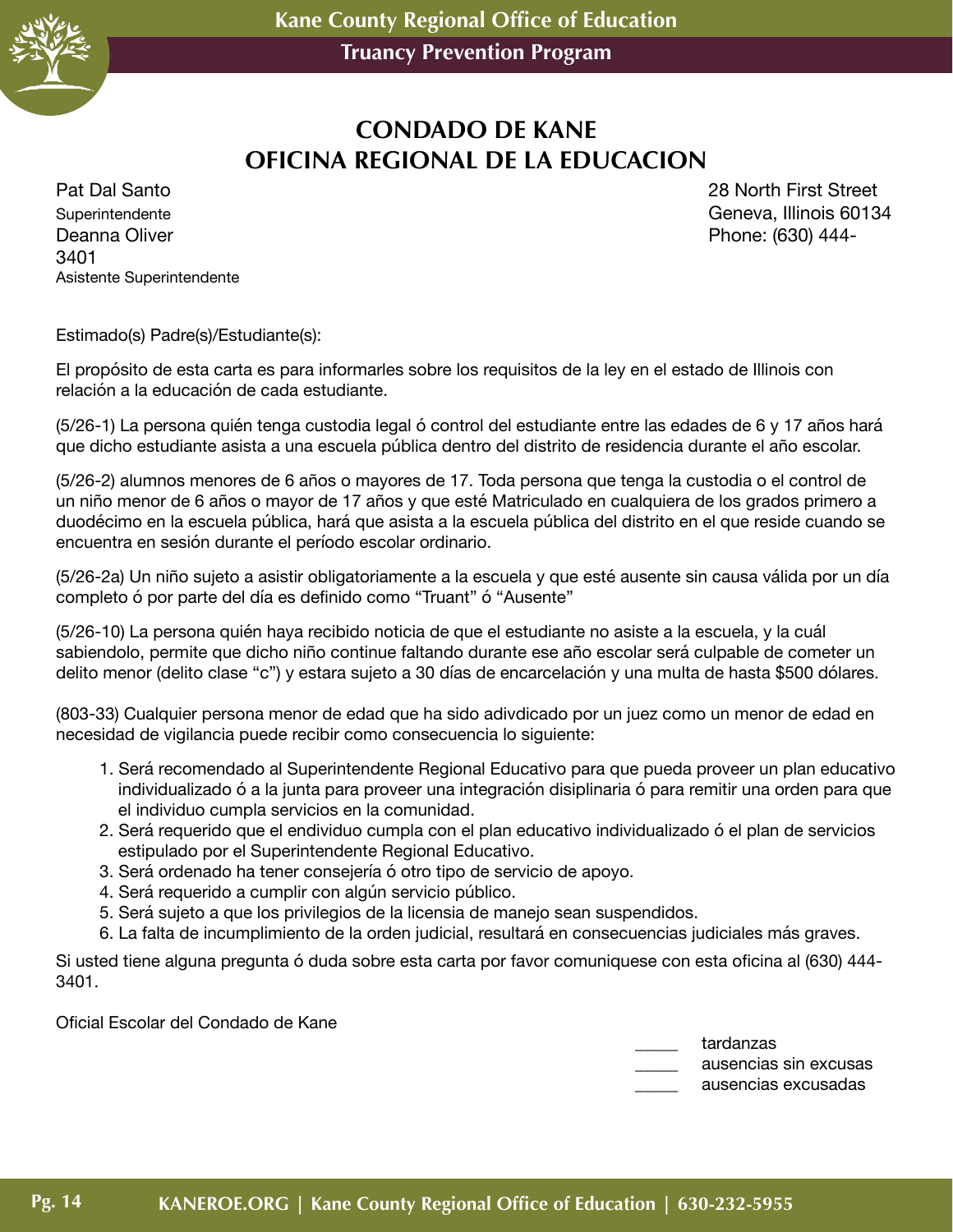

# **CONDADO DE KANE OFICINA REGIONAL DE LA EDUCACION**

Superintendente Geneva, Illinois 60134 Deanna Oliver **Phone:** (630) 444-3401 Asistente Superintendente

Pat Dal Santo 28 North First Street

Estimado(s) Padre(s)/Estudiante(s):

El propósito de esta carta es para informarles sobre los requisitos de la ley en el estado de Illinois con relación a la educación de cada estudiante.

(5/26-1) La persona quién tenga custodia legal ó control del estudiante entre las edades de 6 y 17 años hará que dicho estudiante asista a una escuela pública dentro del distrito de residencia durante el año escolar.

(5/26-2) alumnos menores de 6 años o mayores de 17. Toda persona que tenga la custodia o el control de un niño menor de 6 años o mayor de 17 años y que esté Matriculado en cualquiera de los grados primero a duodécimo en la escuela pública, hará que asista a la escuela pública del distrito en el que reside cuando se encuentra en sesión durante el período escolar ordinario.

(5/26-2a) Un niño sujeto a asistir obligatoriamente a la escuela y que esté ausente sin causa válida por un día completo ó por parte del día es definido como "Truant" ó "Ausente"

(5/26-10) La persona quién haya recibido noticia de que el estudiante no asiste a la escuela, y la cuál sabiendolo, permite que dicho niño continue faltando durante ese año escolar será culpable de cometer un delito menor (delito clase "c") y estara sujeto a 30 días de encarcelación y una multa de hasta \$500 dólares.

(803-33) Cualquier persona menor de edad que ha sido adivdicado por un juez como un menor de edad en necesidad de vigilancia puede recibir como consecuencia lo siguiente:

- 1. Será recomendado al Superintendente Regional Educativo para que pueda proveer un plan educativo individualizado ó a la junta para proveer una integración disiplinaria ó para remitir una orden para que el individuo cumpla servicios en la comunidad.
- 2. Será requerido que el endividuo cumpla con el plan educativo individualizado ó el plan de servicios estipulado por el Superintendente Regional Educativo.
- 3. Será ordenado ha tener consejería ó otro tipo de servicio de apoyo.
- 4. Será requerido a cumplir con algún servicio público.
- 5. Será sujeto a que los privilegios de la licensia de manejo sean suspendidos.
- 6. La falta de incumplimiento de la orden judicial, resultará en consecuencias judiciales más graves.

Si usted tiene alguna pregunta ó duda sobre esta carta por favor comuniquese con esta oficina al (630) 444- 3401.

Oficial Escolar del Condado de Kane

tardanzas \_\_\_\_\_ ausencias sin excusas

\_\_\_\_\_ ausencias excusadas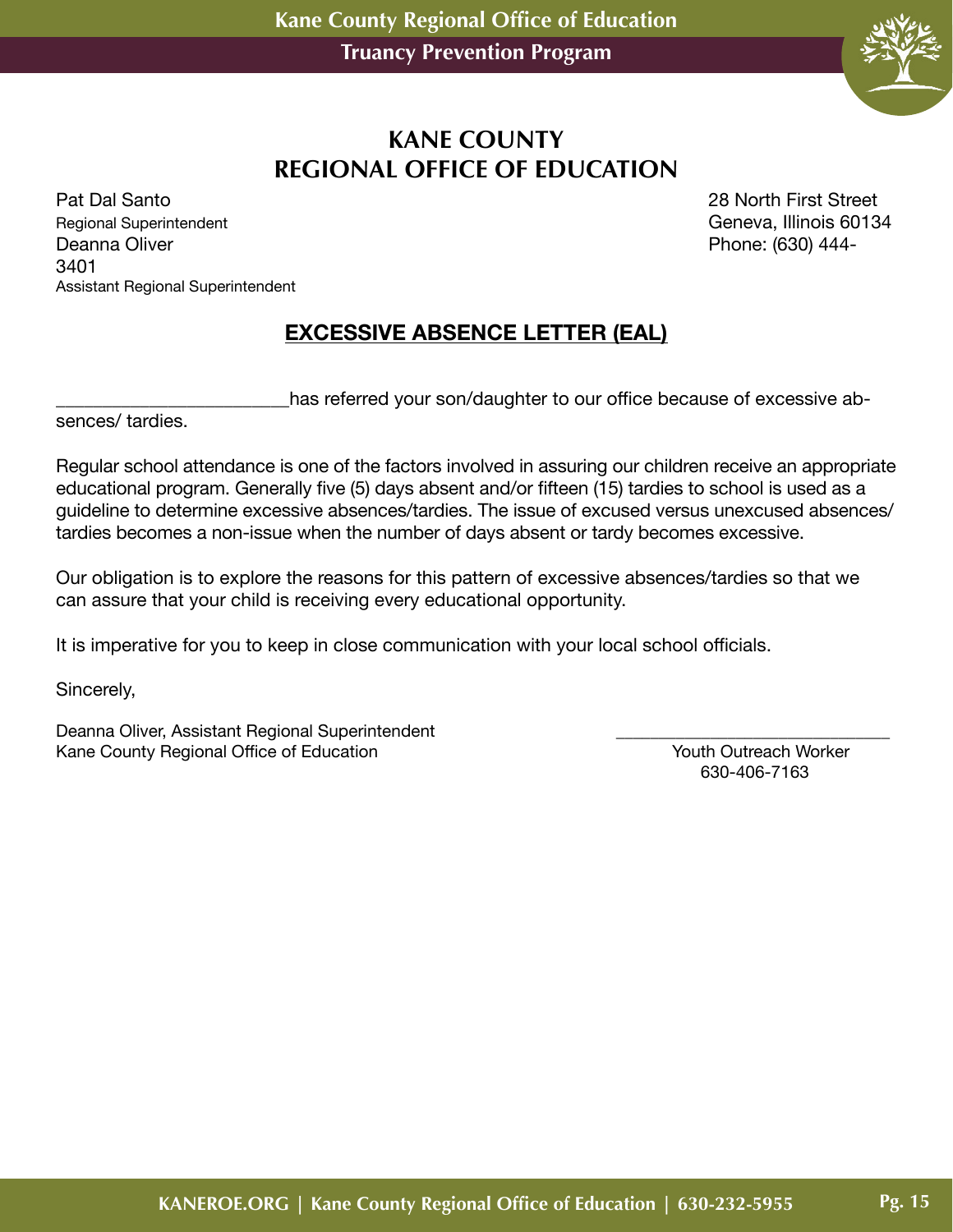

#### **KANE COUNTY REGIONAL OFFICE OF EDUCATION**

Pat Dal Santo 28 North First Street Regional Superintendent Geneva, Illinois 60134 Deanna Oliver **Phone:** (630) 444-3401 Assistant Regional Superintendent

#### **EXCESSIVE ABSENCE LETTER (EAL)**

has referred your son/daughter to our office because of excessive ab-

sences/ tardies.

Regular school attendance is one of the factors involved in assuring our children receive an appropriate educational program. Generally five (5) days absent and/or fifteen (15) tardies to school is used as a guideline to determine excessive absences/tardies. The issue of excused versus unexcused absences/ tardies becomes a non-issue when the number of days absent or tardy becomes excessive.

Our obligation is to explore the reasons for this pattern of excessive absences/tardies so that we can assure that your child is receiving every educational opportunity.

It is imperative for you to keep in close communication with your local school officials.

Sincerely,

Deanna Oliver, Assistant Regional Superintendent Kane County Regional Office of Education **Youth Outreach Worker** San American Morker<br>630-406-7163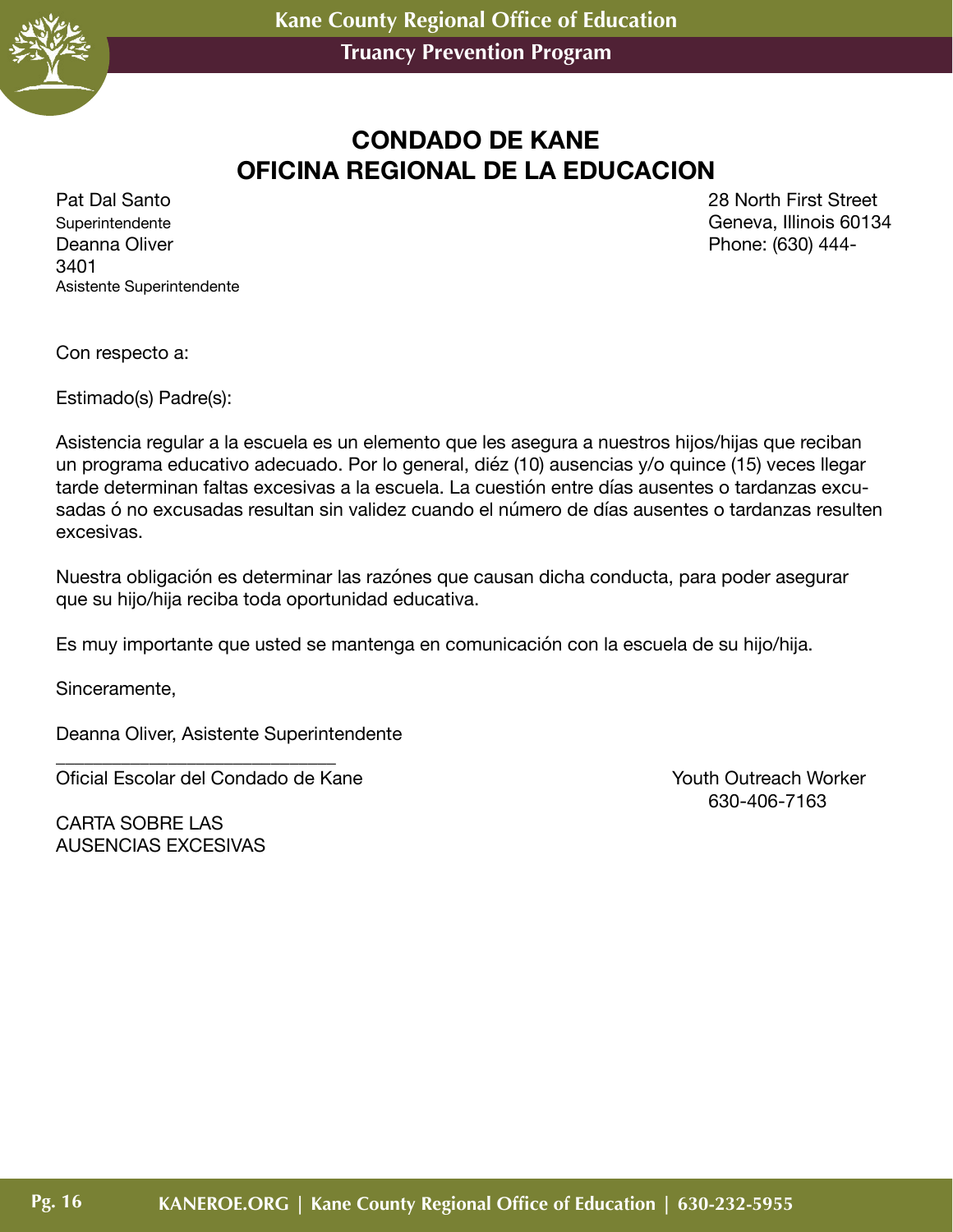

# **CONDADO DE KANE OFICINA REGIONAL DE LA EDUCACION**

Superintendente Geneva, Illinois 60134 Deanna Oliver **Phone:** (630) 444-3401 Asistente Superintendente

Pat Dal Santo 28 North First Street

Con respecto a:

Estimado(s) Padre(s):

Asistencia regular a la escuela es un elemento que les asegura a nuestros hijos/hijas que reciban un programa educativo adecuado. Por lo general, diéz (10) ausencias y/o quince (15) veces llegar tarde determinan faltas excesivas a la escuela. La cuestión entre días ausentes o tardanzas excusadas ó no excusadas resultan sin validez cuando el número de días ausentes o tardanzas resulten excesivas.

Nuestra obligación es determinar las razónes que causan dicha conducta, para poder asegurar que su hijo/hija reciba toda oportunidad educativa.

Es muy importante que usted se mantenga en comunicación con la escuela de su hijo/hija.

Sinceramente,

Deanna Oliver, Asistente Superintendente

\_\_\_\_\_\_\_\_\_\_\_\_\_\_\_\_\_\_\_\_\_\_\_\_\_\_\_\_\_\_ Oficial Escolar del Condado de Kane Youth Outreach Worker

630-406-7163

CARTA SOBRE LAS AUSENCIAS EXCESIVAS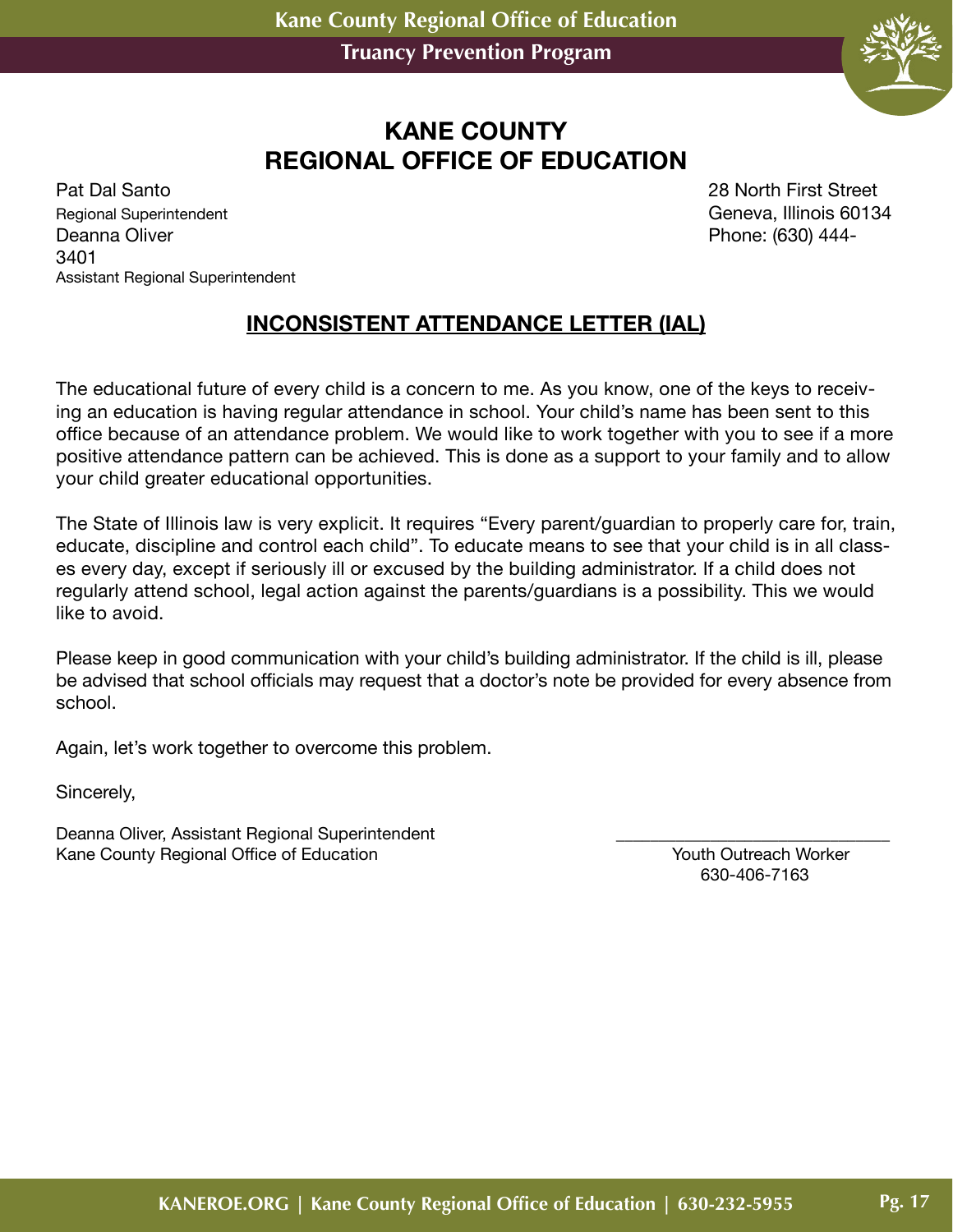

# **KANE COUNTY REGIONAL OFFICE OF EDUCATION**

Pat Dal Santo 28 North First Street Regional Superintendent Geneva, Illinois 60134 Deanna Oliver **Phone:** (630) 444-3401 Assistant Regional Superintendent

#### **INCONSISTENT ATTENDANCE LETTER (IAL)**

The educational future of every child is a concern to me. As you know, one of the keys to receiving an education is having regular attendance in school. Your child's name has been sent to this office because of an attendance problem. We would like to work together with you to see if a more positive attendance pattern can be achieved. This is done as a support to your family and to allow your child greater educational opportunities.

The State of Illinois law is very explicit. It requires "Every parent/guardian to properly care for, train, educate, discipline and control each child". To educate means to see that your child is in all classes every day, except if seriously ill or excused by the building administrator. If a child does not regularly attend school, legal action against the parents/guardians is a possibility. This we would like to avoid.

Please keep in good communication with your child's building administrator. If the child is ill, please be advised that school officials may request that a doctor's note be provided for every absence from school.

Again, let's work together to overcome this problem.

Sincerely,

Deanna Oliver, Assistant Regional Superintendent Kane County Regional Office of Education New Youth Outreach Worker<br>630-406-7163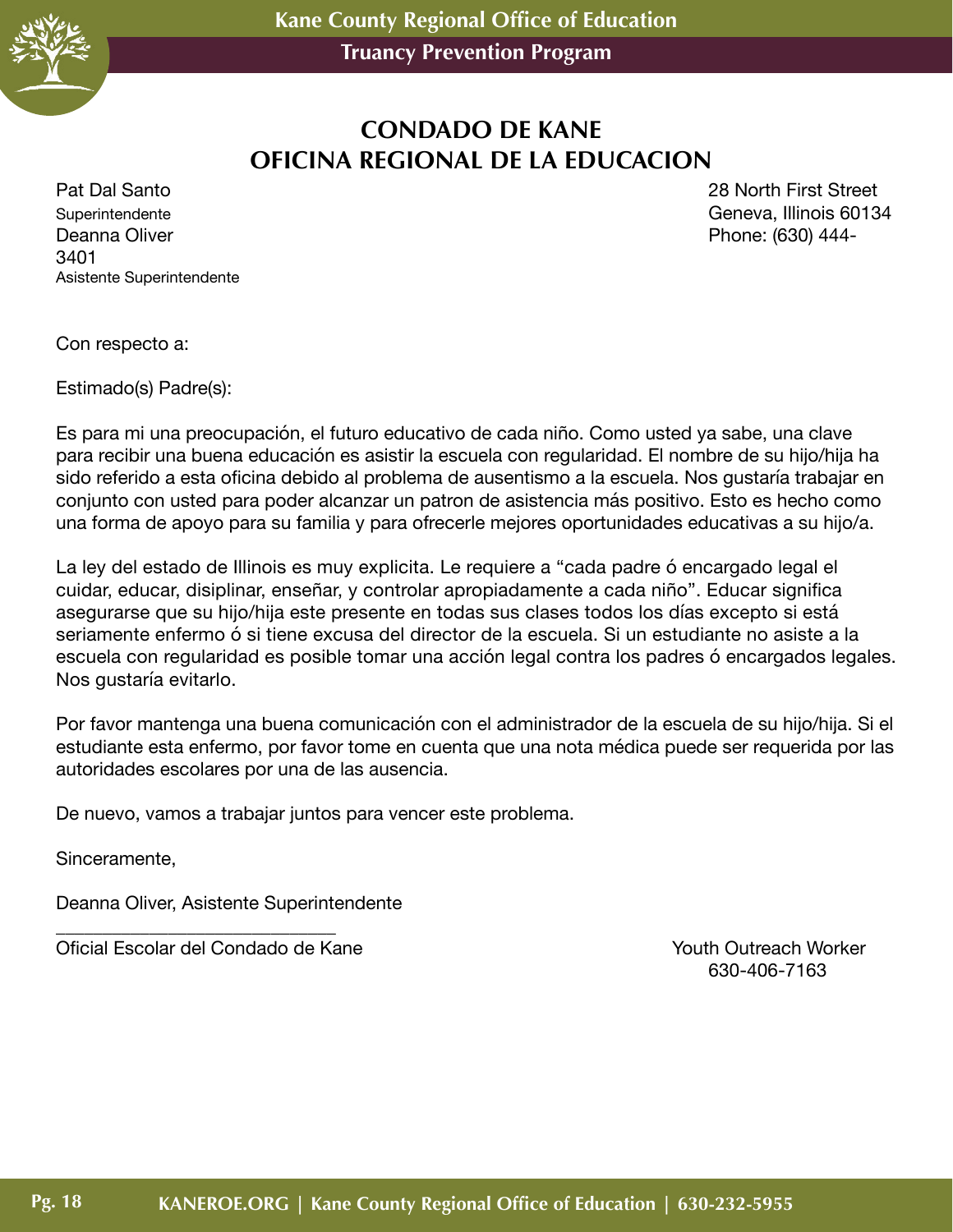

# **CONDADO DE KANE OFICINA REGIONAL DE LA EDUCACION**

Superintendente Geneva, Illinois 60134 Deanna Oliver **Phone:** (630) 444-3401 Asistente Superintendente

Pat Dal Santo 28 North First Street

Con respecto a:

Estimado(s) Padre(s):

Es para mi una preocupación, el futuro educativo de cada niño. Como usted ya sabe, una clave para recibir una buena educación es asistir la escuela con regularidad. El nombre de su hijo/hija ha sido referido a esta oficina debido al problema de ausentismo a la escuela. Nos gustaría trabajar en conjunto con usted para poder alcanzar un patron de asistencia más positivo. Esto es hecho como una forma de apoyo para su familia y para ofrecerle mejores oportunidades educativas a su hijo/a.

La ley del estado de Illinois es muy explicita. Le requiere a "cada padre ó encargado legal el cuidar, educar, disiplinar, enseñar, y controlar apropiadamente a cada niño". Educar significa asegurarse que su hijo/hija este presente en todas sus clases todos los días excepto si está seriamente enfermo ó si tiene excusa del director de la escuela. Si un estudiante no asiste a la escuela con regularidad es posible tomar una acción legal contra los padres ó encargados legales. Nos gustaría evitarlo.

Por favor mantenga una buena comunicación con el administrador de la escuela de su hijo/hija. Si el estudiante esta enfermo, por favor tome en cuenta que una nota médica puede ser requerida por las autoridades escolares por una de las ausencia.

De nuevo, vamos a trabajar juntos para vencer este problema.

Sinceramente,

Deanna Oliver, Asistente Superintendente

\_\_\_\_\_\_\_\_\_\_\_\_\_\_\_\_\_\_\_\_\_\_\_\_\_\_\_\_\_\_ Oficial Escolar del Condado de Kane Youth Outreach Worker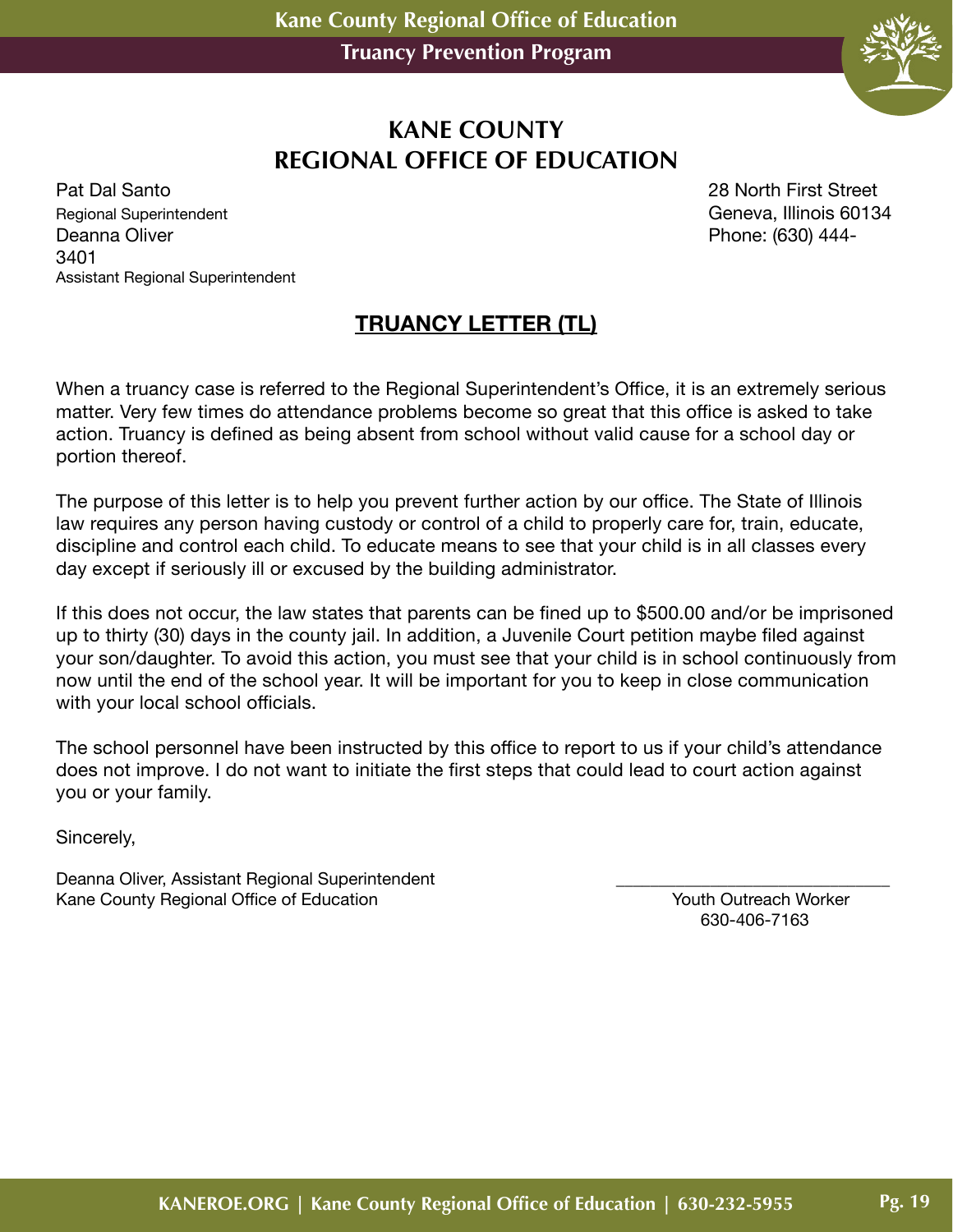

#### **KANE COUNTY REGIONAL OFFICE OF EDUCATION**

Pat Dal Santo 28 North First Street Regional Superintendent Geneva, Illinois 60134 Deanna Oliver **Phone:** (630) 444-3401 Assistant Regional Superintendent

# **TRUANCY LETTER (TL)**

When a truancy case is referred to the Regional Superintendent's Office, it is an extremely serious matter. Very few times do attendance problems become so great that this office is asked to take action. Truancy is defined as being absent from school without valid cause for a school day or portion thereof.

The purpose of this letter is to help you prevent further action by our office. The State of Illinois law requires any person having custody or control of a child to properly care for, train, educate, discipline and control each child. To educate means to see that your child is in all classes every day except if seriously ill or excused by the building administrator.

If this does not occur, the law states that parents can be fined up to \$500.00 and/or be imprisoned up to thirty (30) days in the county jail. In addition, a Juvenile Court petition maybe filed against your son/daughter. To avoid this action, you must see that your child is in school continuously from now until the end of the school year. It will be important for you to keep in close communication with your local school officials.

The school personnel have been instructed by this office to report to us if your child's attendance does not improve. I do not want to initiate the first steps that could lead to court action against you or your family.

Sincerely,

Deanna Oliver, Assistant Regional Superintendent Kane County Regional Office of Education November 2012 1998 November 2014 November 2016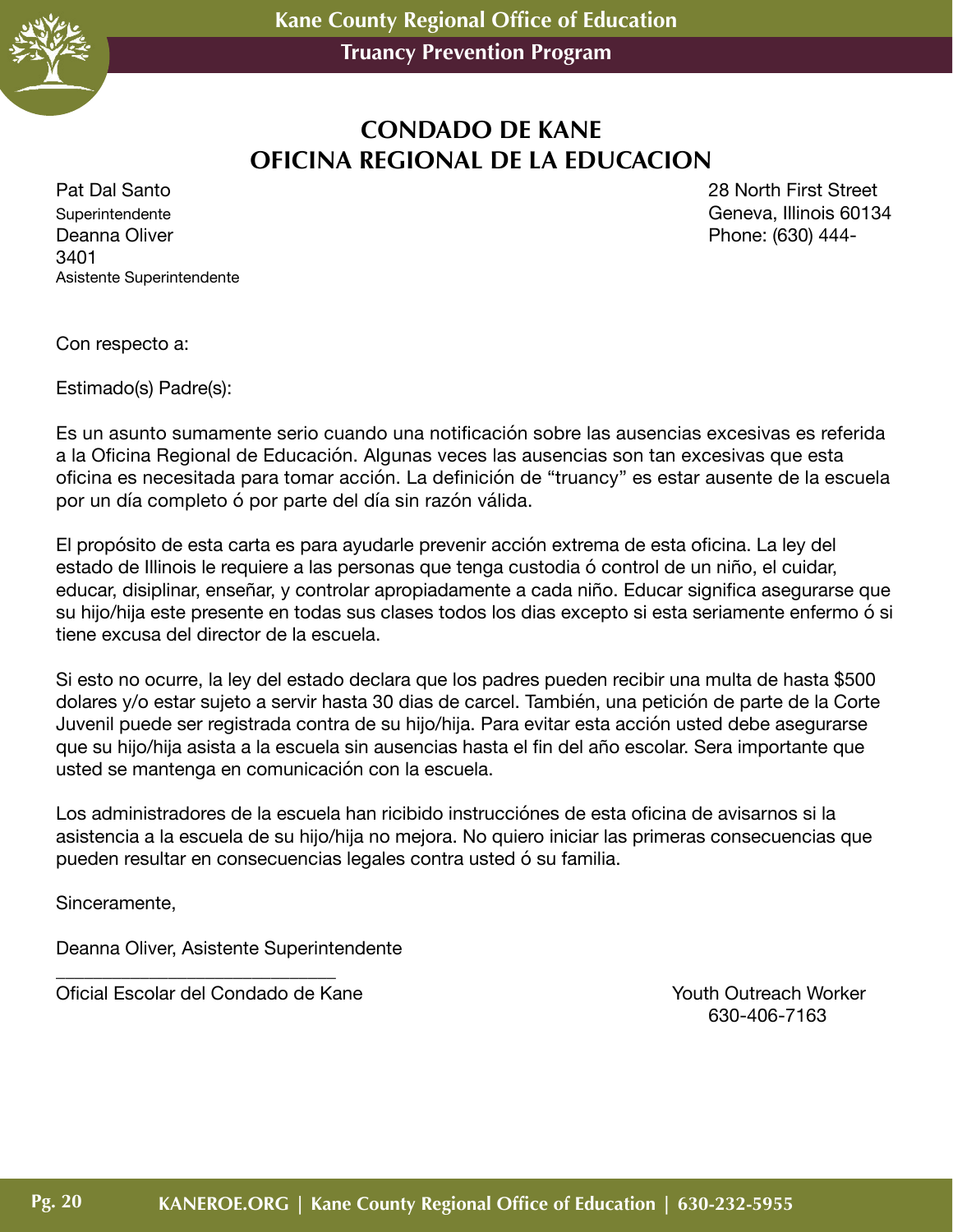

# **CONDADO DE KANE OFICINA REGIONAL DE LA EDUCACION**

Superintendente Geneva, Illinois 60134 Deanna Oliver **Phone:** (630) 444-3401 Asistente Superintendente

Pat Dal Santo 28 North First Street

Con respecto a:

Estimado(s) Padre(s):

Es un asunto sumamente serio cuando una notificación sobre las ausencias excesivas es referida a la Oficina Regional de Educación. Algunas veces las ausencias son tan excesivas que esta oficina es necesitada para tomar acción. La definición de "truancy" es estar ausente de la escuela por un día completo ó por parte del día sin razón válida.

El propósito de esta carta es para ayudarle prevenir acción extrema de esta oficina. La ley del estado de Illinois le requiere a las personas que tenga custodia ó control de un niño, el cuidar, educar, disiplinar, enseñar, y controlar apropiadamente a cada niño. Educar significa asegurarse que su hijo/hija este presente en todas sus clases todos los dias excepto si esta seriamente enfermo ó si tiene excusa del director de la escuela.

Si esto no ocurre, la ley del estado declara que los padres pueden recibir una multa de hasta \$500 dolares y/o estar sujeto a servir hasta 30 dias de carcel. También, una petición de parte de la Corte Juvenil puede ser registrada contra de su hijo/hija. Para evitar esta acción usted debe asegurarse que su hijo/hija asista a la escuela sin ausencias hasta el fin del año escolar. Sera importante que usted se mantenga en comunicación con la escuela.

Los administradores de la escuela han ricibido instrucciónes de esta oficina de avisarnos si la asistencia a la escuela de su hijo/hija no mejora. No quiero iniciar las primeras consecuencias que pueden resultar en consecuencias legales contra usted ó su familia.

Sinceramente,

Deanna Oliver, Asistente Superintendente

\_\_\_\_\_\_\_\_\_\_\_\_\_\_\_\_\_\_\_\_\_\_\_\_\_\_\_\_\_\_ Oficial Escolar del Condado de Kane Youth Outreach Worker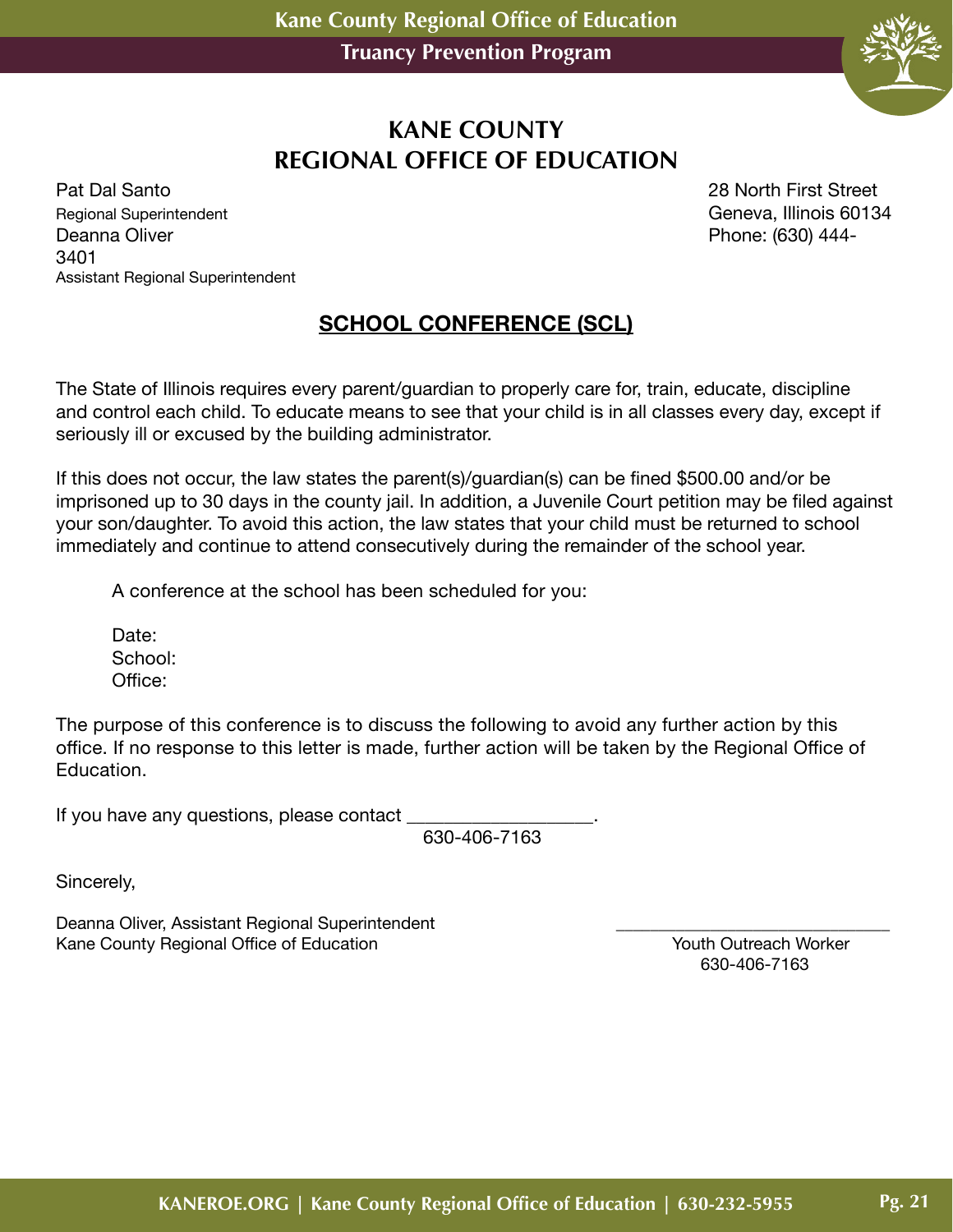

## **KANE COUNTY REGIONAL OFFICE OF EDUCATION**

Pat Dal Santo 28 North First Street Regional Superintendent Geneva, Illinois 60134 Deanna Oliver **Phone:** (630) 444-3401 Assistant Regional Superintendent

#### **SCHOOL CONFERENCE (SCL)**

The State of Illinois requires every parent/guardian to properly care for, train, educate, discipline and control each child. To educate means to see that your child is in all classes every day, except if seriously ill or excused by the building administrator.

If this does not occur, the law states the parent(s)/guardian(s) can be fined \$500.00 and/or be imprisoned up to 30 days in the county jail. In addition, a Juvenile Court petition may be filed against your son/daughter. To avoid this action, the law states that your child must be returned to school immediately and continue to attend consecutively during the remainder of the school year.

A conference at the school has been scheduled for you:

Date: School: Office:

The purpose of this conference is to discuss the following to avoid any further action by this office. If no response to this letter is made, further action will be taken by the Regional Office of Education.

If you have any questions, please contact

630-406-7163

Sincerely,

Deanna Oliver, Assistant Regional Superintendent entity and the control of the County Regional Office of Education Control of the County Regional Office of Education Kane County Regional Office of Education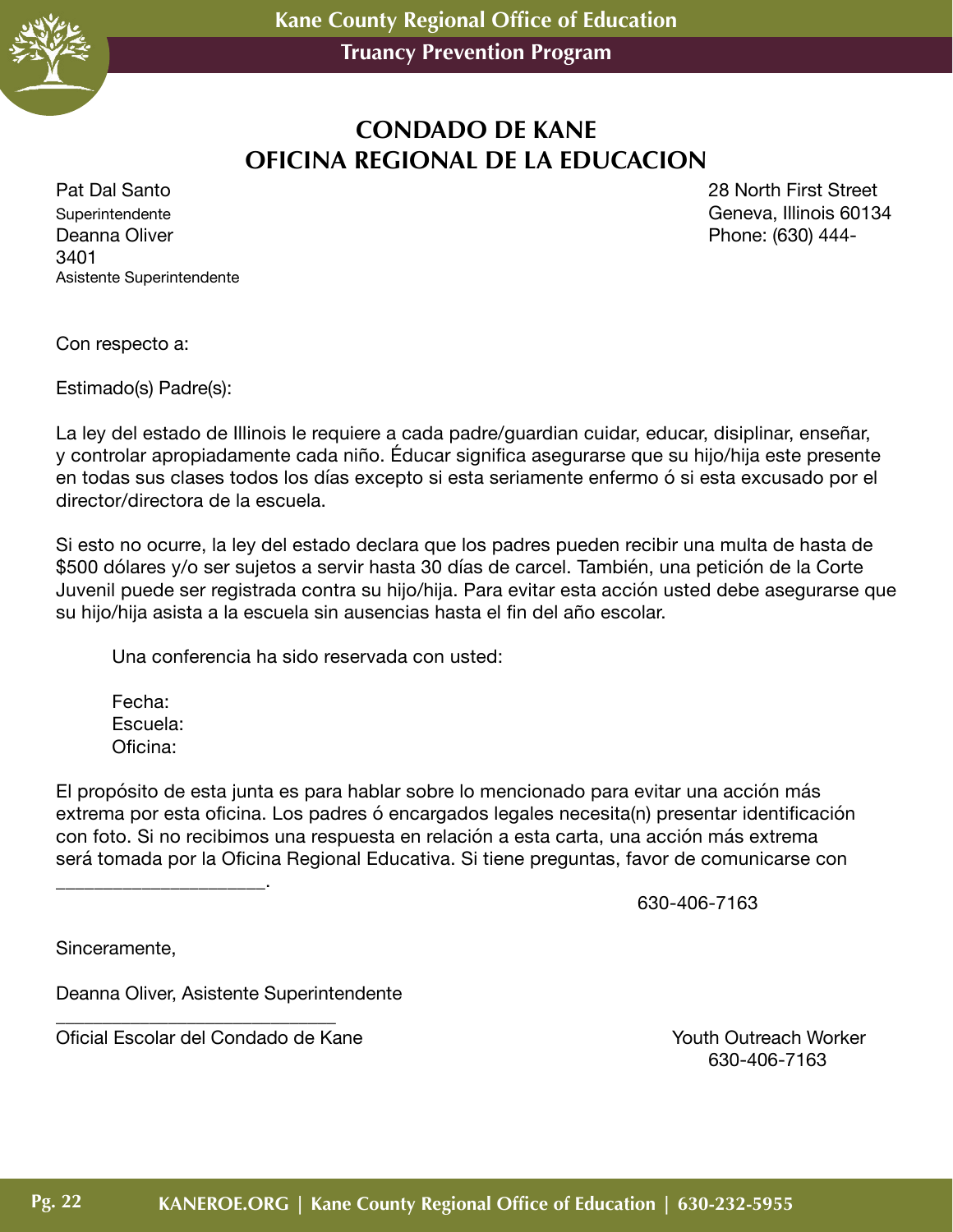

## **CONDADO DE KANE OFICINA REGIONAL DE LA EDUCACION**

Superintendente Geneva, Illinois 60134 Deanna Oliver **Phone:** (630) 444-3401 Asistente Superintendente

Pat Dal Santo 28 North First Street

Con respecto a:

Estimado(s) Padre(s):

La ley del estado de Illinois le requiere a cada padre/guardian cuidar, educar, disiplinar, enseñar, y controlar apropiadamente cada niño. Éducar significa asegurarse que su hijo/hija este presente en todas sus clases todos los días excepto si esta seriamente enfermo ó si esta excusado por el director/directora de la escuela.

Si esto no ocurre, la ley del estado declara que los padres pueden recibir una multa de hasta de \$500 dólares y/o ser sujetos a servir hasta 30 días de carcel. También, una petición de la Corte Juvenil puede ser registrada contra su hijo/hija. Para evitar esta acción usted debe asegurarse que su hijo/hija asista a la escuela sin ausencias hasta el fin del año escolar.

Una conferencia ha sido reservada con usted:

Fecha: Escuela: Oficina:

\_\_\_\_\_\_\_\_\_\_\_\_\_\_\_\_\_\_\_\_\_\_.

El propósito de esta junta es para hablar sobre lo mencionado para evitar una acción más extrema por esta oficina. Los padres ó encargados legales necesita(n) presentar identificación con foto. Si no recibimos una respuesta en relación a esta carta, una acción más extrema será tomada por la Oficina Regional Educativa. Si tiene preguntas, favor de comunicarse con

630-406-7163

Sinceramente,

Deanna Oliver, Asistente Superintendente

\_\_\_\_\_\_\_\_\_\_\_\_\_\_\_\_\_\_\_\_\_\_\_\_\_\_\_\_\_\_

Oficial Escolar del Condado de Kane Youth Outreach Worker<br>630-406-7163 630-406-7163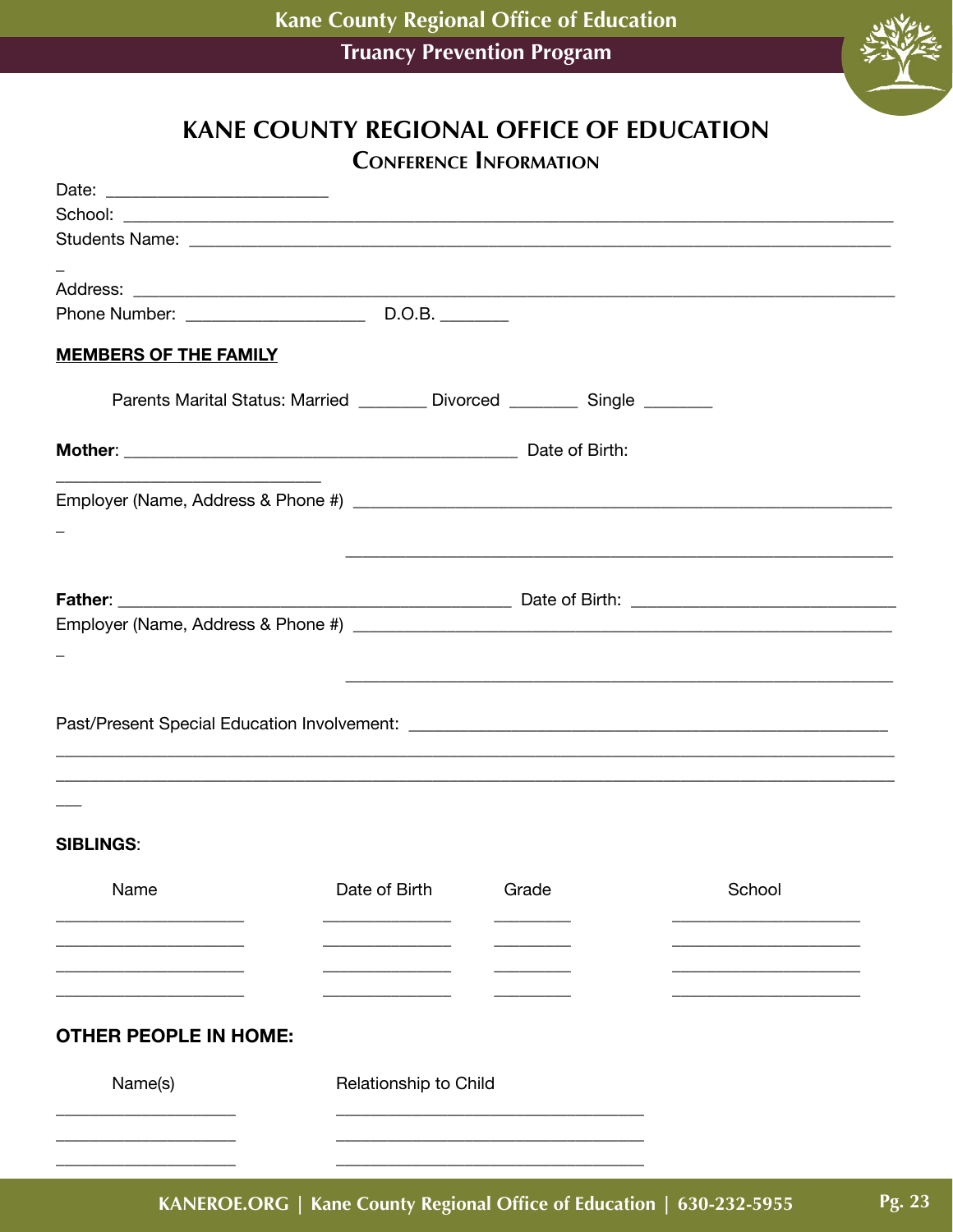

# **KANE COUNTY REGIONAL OFFICE OF EDUCATION CONFERENCE INFORMATION**

| <b>MEMBERS OF THE FAMILY</b> |                                                                           |       |                                                                                                                      |  |
|------------------------------|---------------------------------------------------------------------------|-------|----------------------------------------------------------------------------------------------------------------------|--|
|                              | Parents Marital Status: Married ________ Divorced ________ Single _______ |       |                                                                                                                      |  |
|                              |                                                                           |       |                                                                                                                      |  |
|                              |                                                                           |       |                                                                                                                      |  |
|                              |                                                                           |       |                                                                                                                      |  |
|                              |                                                                           |       |                                                                                                                      |  |
|                              |                                                                           |       |                                                                                                                      |  |
|                              |                                                                           |       |                                                                                                                      |  |
|                              |                                                                           |       |                                                                                                                      |  |
|                              |                                                                           |       |                                                                                                                      |  |
|                              |                                                                           |       | <u> 1989 - Johann Barn, amerikan berkema di bandara dalam berkema dalam berkema dalam berkema dalam berkema dala</u> |  |
|                              |                                                                           |       |                                                                                                                      |  |
|                              |                                                                           |       |                                                                                                                      |  |
|                              |                                                                           |       | ,我们也不能在这里的人,我们也不能在这里的人,我们也不能在这里的人,我们也不能在这里的人,我们也不能在这里的人,我们也不能在这里的人,我们也不能在这里的人,我们也                                    |  |
|                              |                                                                           |       |                                                                                                                      |  |
|                              |                                                                           |       |                                                                                                                      |  |
| <b>SIBLINGS:</b>             |                                                                           |       |                                                                                                                      |  |
| Name                         | Date of Birth                                                             | Grade | School                                                                                                               |  |
|                              |                                                                           |       |                                                                                                                      |  |
|                              |                                                                           |       |                                                                                                                      |  |
|                              |                                                                           |       |                                                                                                                      |  |
|                              |                                                                           |       |                                                                                                                      |  |
| <b>OTHER PEOPLE IN HOME:</b> |                                                                           |       |                                                                                                                      |  |
|                              |                                                                           |       |                                                                                                                      |  |
| Name(s)                      | Relationship to Child                                                     |       |                                                                                                                      |  |
|                              |                                                                           |       |                                                                                                                      |  |
|                              |                                                                           |       |                                                                                                                      |  |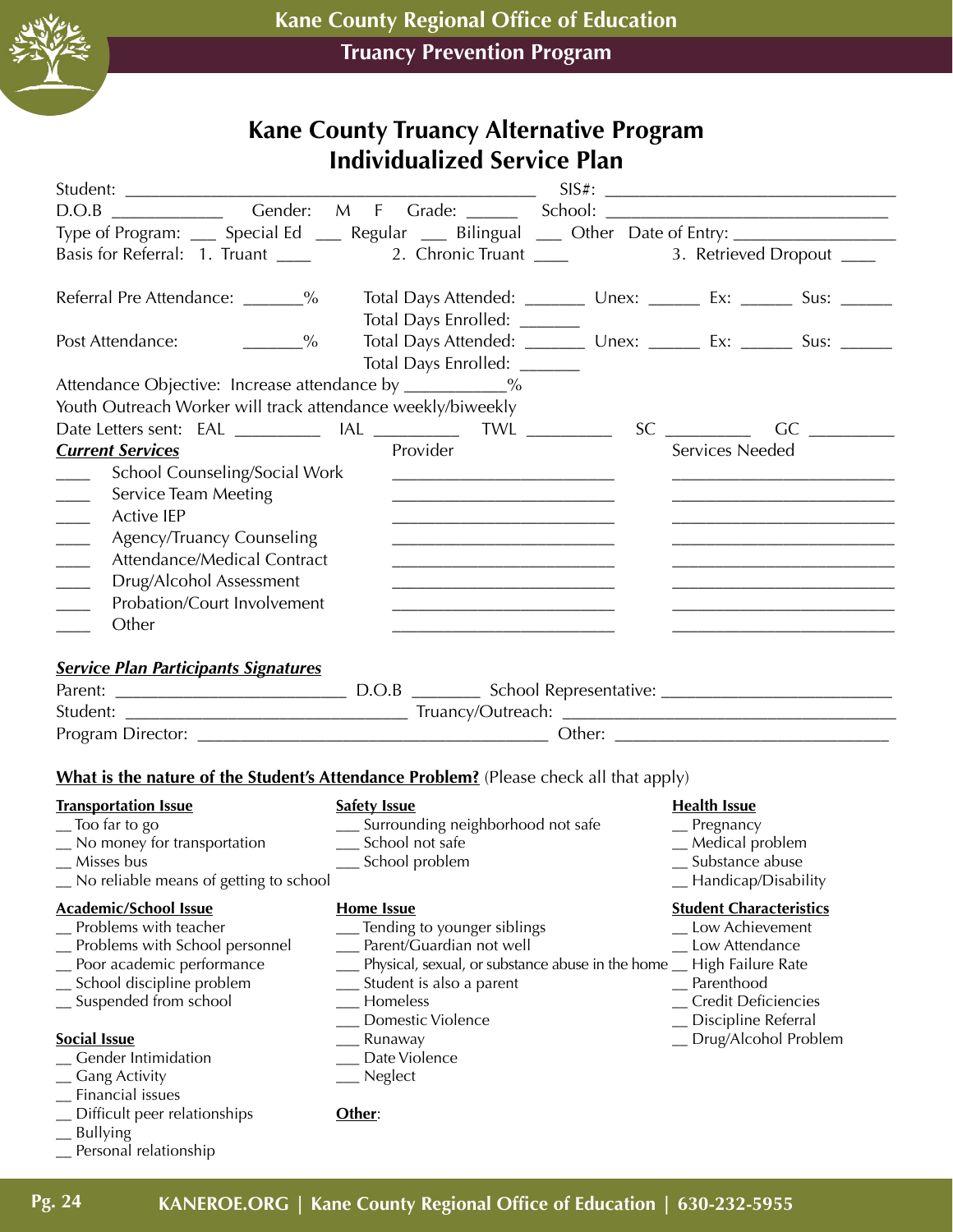

# **Kane County Truancy Alternative Program Individualized Service Plan**

| D.O.B Gender: M F Grade: School: Communication                                                                                                                                                                                                                                                                                             |
|--------------------------------------------------------------------------------------------------------------------------------------------------------------------------------------------------------------------------------------------------------------------------------------------------------------------------------------------|
| Type of Program: ___ Special Ed ___ Regular ___ Bilingual ___ Other Date of Entry: ________________                                                                                                                                                                                                                                        |
|                                                                                                                                                                                                                                                                                                                                            |
| Total Days Attended: __________ Unex: ________ Ex: _______ Sus: _______<br>Total Days Enrolled: _______                                                                                                                                                                                                                                    |
| Total Days Attended: __________ Unex: _________ Ex: ________ Sus: _______<br>Total Days Enrolled: _______                                                                                                                                                                                                                                  |
| Attendance Objective: Increase attendance by ____________%                                                                                                                                                                                                                                                                                 |
|                                                                                                                                                                                                                                                                                                                                            |
| Date Letters sent: EAL _____________ IAL ________________ TWL _____________                                                                                                                                                                                                                                                                |
| Services Needed                                                                                                                                                                                                                                                                                                                            |
| <u> 1989 - Johann Stein, mars an deutscher Stein und der Stein und der Stein und der Stein und der Stein und der</u><br><u> 1989 - Johann Barbara, martin amerikan basar dan berasal dalam berasal dalam basar dalam basar dalam basar da</u><br>the control of the control of the control of the control of the control of the control of |
|                                                                                                                                                                                                                                                                                                                                            |
|                                                                                                                                                                                                                                                                                                                                            |
| What is the nature of the Student's Attendance Problem? (Please check all that apply)                                                                                                                                                                                                                                                      |
| <b>Health Issue</b><br>__ Surrounding neighborhood not safe<br>$P$ regnancy<br>_Medical problem<br>_ Substance abuse<br>_ Handicap/Disability                                                                                                                                                                                              |
| <b>Student Characteristics</b><br>__ Tending to younger siblings<br>Low Achievement<br>__ Parent/Guardian not well<br>Low Attendance<br>___ Physical, sexual, or substance abuse in the home __ High Failure Rate<br>_ Parenthood<br>_ Credit Deficiencies<br>Discipline Referral<br>_Drug/Alcohol Problem                                 |
|                                                                                                                                                                                                                                                                                                                                            |

\_\_ Personal relationship

\_\_ Bullying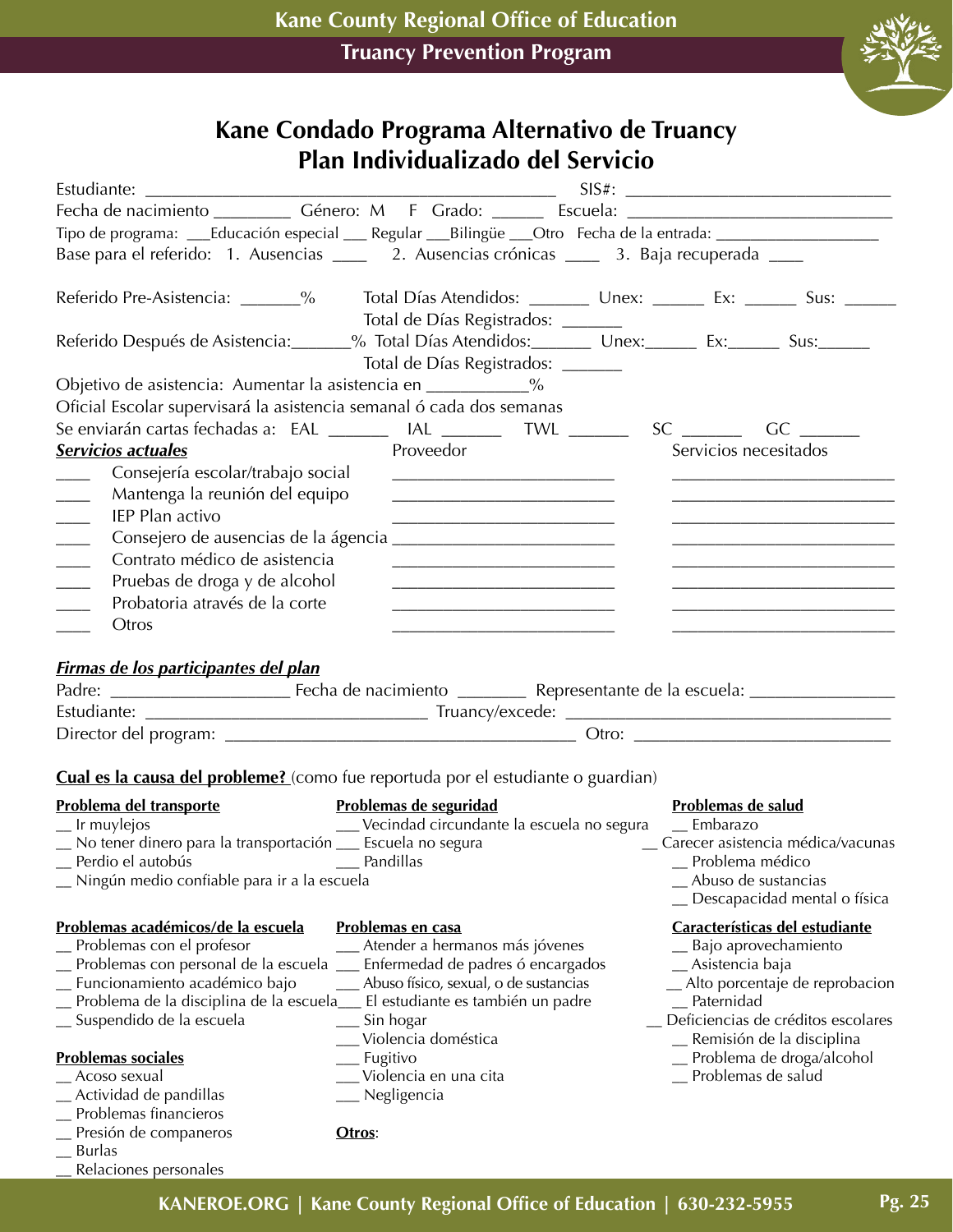

#### **Kane Condado Programa Alternativo de Truancy Plan Individualizado del Servicio**

| Fecha de nacimiento _____________ Género: M F Grado: ________ Escuela: _____________________________                                                                                                                                                                                                                                       |                                                                                                                                                                                                                                                                          |                               |                                                                                                                                                                                                                    |
|--------------------------------------------------------------------------------------------------------------------------------------------------------------------------------------------------------------------------------------------------------------------------------------------------------------------------------------------|--------------------------------------------------------------------------------------------------------------------------------------------------------------------------------------------------------------------------------------------------------------------------|-------------------------------|--------------------------------------------------------------------------------------------------------------------------------------------------------------------------------------------------------------------|
| Tipo de programa: ___Educación especial ___ Regular ___Bilingüe ___Otro Fecha de la entrada: _________________                                                                                                                                                                                                                             |                                                                                                                                                                                                                                                                          |                               |                                                                                                                                                                                                                    |
| Base para el referido: 1. Ausencias _____ 2. Ausencias crónicas ____ 3. Baja recuperada ____                                                                                                                                                                                                                                               |                                                                                                                                                                                                                                                                          |                               |                                                                                                                                                                                                                    |
| Referido Pre-Asistencia: _______% Total Días Atendidos: ________ Unex: _______ Ex: ______ Sus: ______                                                                                                                                                                                                                                      | Total de Días Registrados: ______                                                                                                                                                                                                                                        |                               |                                                                                                                                                                                                                    |
| Referido Después de Asistencia: 60% % Total Días Atendidos: Marx: Marx: Ex: Ex: Sus: Sus: Ex: Alta Sus: 2007                                                                                                                                                                                                                               | Total de Días Registrados: _______                                                                                                                                                                                                                                       |                               |                                                                                                                                                                                                                    |
| Objetivo de asistencia: Aumentar la asistencia en ____________%                                                                                                                                                                                                                                                                            |                                                                                                                                                                                                                                                                          |                               |                                                                                                                                                                                                                    |
| Oficial Escolar supervisará la asistencia semanal ó cada dos semanas                                                                                                                                                                                                                                                                       |                                                                                                                                                                                                                                                                          |                               |                                                                                                                                                                                                                    |
| Se enviarán cartas fechadas a: EAL _________ IAL ________ TWL _______                                                                                                                                                                                                                                                                      |                                                                                                                                                                                                                                                                          |                               | $SC$ GC GC                                                                                                                                                                                                         |
| Servicios actuales                                                                                                                                                                                                                                                                                                                         | Proveedor                                                                                                                                                                                                                                                                |                               | Servicios necesitados                                                                                                                                                                                              |
| Consejería escolar/trabajo social<br>Mantenga la reunión del equipo<br>$\overline{\phantom{a}}$<br><b>IEP Plan activo</b>                                                                                                                                                                                                                  |                                                                                                                                                                                                                                                                          |                               | <u> 1989 - Johann Barbara, martin da kasar Amerikaan kasar dan berasal dan berasal dalam berasal dalam berasal da</u>                                                                                              |
| $\overline{\phantom{a}}$                                                                                                                                                                                                                                                                                                                   |                                                                                                                                                                                                                                                                          |                               | <u> 1989 - Johann Barbara, markazi ya mshindi ya Ufara ya Ufara ya Ufara ya Ufara ya Ufara ya Ufara ya Ufara ya U</u>                                                                                              |
| Contrato médico de asistencia<br>$\frac{1}{2}$                                                                                                                                                                                                                                                                                             |                                                                                                                                                                                                                                                                          |                               |                                                                                                                                                                                                                    |
| Pruebas de droga y de alcohol                                                                                                                                                                                                                                                                                                              |                                                                                                                                                                                                                                                                          |                               |                                                                                                                                                                                                                    |
| Probatoria através de la corte                                                                                                                                                                                                                                                                                                             | the control of the control of the control of the control of the control of the control of                                                                                                                                                                                |                               |                                                                                                                                                                                                                    |
| Otros                                                                                                                                                                                                                                                                                                                                      |                                                                                                                                                                                                                                                                          |                               |                                                                                                                                                                                                                    |
|                                                                                                                                                                                                                                                                                                                                            |                                                                                                                                                                                                                                                                          |                               |                                                                                                                                                                                                                    |
| <b>Firmas de los participantes del plan</b>                                                                                                                                                                                                                                                                                                |                                                                                                                                                                                                                                                                          |                               |                                                                                                                                                                                                                    |
|                                                                                                                                                                                                                                                                                                                                            |                                                                                                                                                                                                                                                                          |                               |                                                                                                                                                                                                                    |
|                                                                                                                                                                                                                                                                                                                                            |                                                                                                                                                                                                                                                                          |                               |                                                                                                                                                                                                                    |
|                                                                                                                                                                                                                                                                                                                                            |                                                                                                                                                                                                                                                                          |                               |                                                                                                                                                                                                                    |
|                                                                                                                                                                                                                                                                                                                                            |                                                                                                                                                                                                                                                                          |                               |                                                                                                                                                                                                                    |
| <b>Cual es la causa del probleme?</b> (como fue reportuda por el estudiante o guardian)                                                                                                                                                                                                                                                    |                                                                                                                                                                                                                                                                          |                               |                                                                                                                                                                                                                    |
| Problema del transporte<br>_ Ir muylejos<br>No tener dinero para la transportación __ Escuela no segura<br><b>Example 21 Pandillas</b><br>Perdio el autobús<br>_ Ningún medio confiable para ir a la escuela                                                                                                                               | Problemas de seguridad<br>___ Vecindad circundante la escuela no segura __ Embarazo                                                                                                                                                                                      | Problemas de salud            | _ Carecer asistencia médica/vacunas<br>Problema médico<br>Abuso de sustancias<br>Descapacidad mental o física                                                                                                      |
| Problemas académicos/de la escuela<br>Problemas con el profesor<br>Problemas con personal de la escuela<br>Funcionamiento académico bajo<br>Problema de la disciplina de la escuela<br>_ Suspendido de la escuela<br><b>Problemas sociales</b><br>Acoso sexual<br>Actividad de pandillas<br>Problemas financieros<br>Presión de companeros | Problemas en casa<br>Atender a hermanos más jóvenes<br>Enfermedad de padres ó encargados<br>Abuso físico, sexual, o de sustancias<br>El estudiante es también un padre<br>Sin hogar<br>Violencia doméstica<br>Fugitivo<br>Violencia en una cita<br>Negligencia<br>Otros: | Asistencia baja<br>Paternidad | Características del estudiante<br>Bajo aprovechamiento<br>Alto porcentaje de reprobacion<br>Deficiencias de créditos escolares<br>_ Remisión de la disciplina<br>Problema de droga/alcohol<br>_ Problemas de salud |
| <b>Burlas</b>                                                                                                                                                                                                                                                                                                                              |                                                                                                                                                                                                                                                                          |                               |                                                                                                                                                                                                                    |

Relaciones personales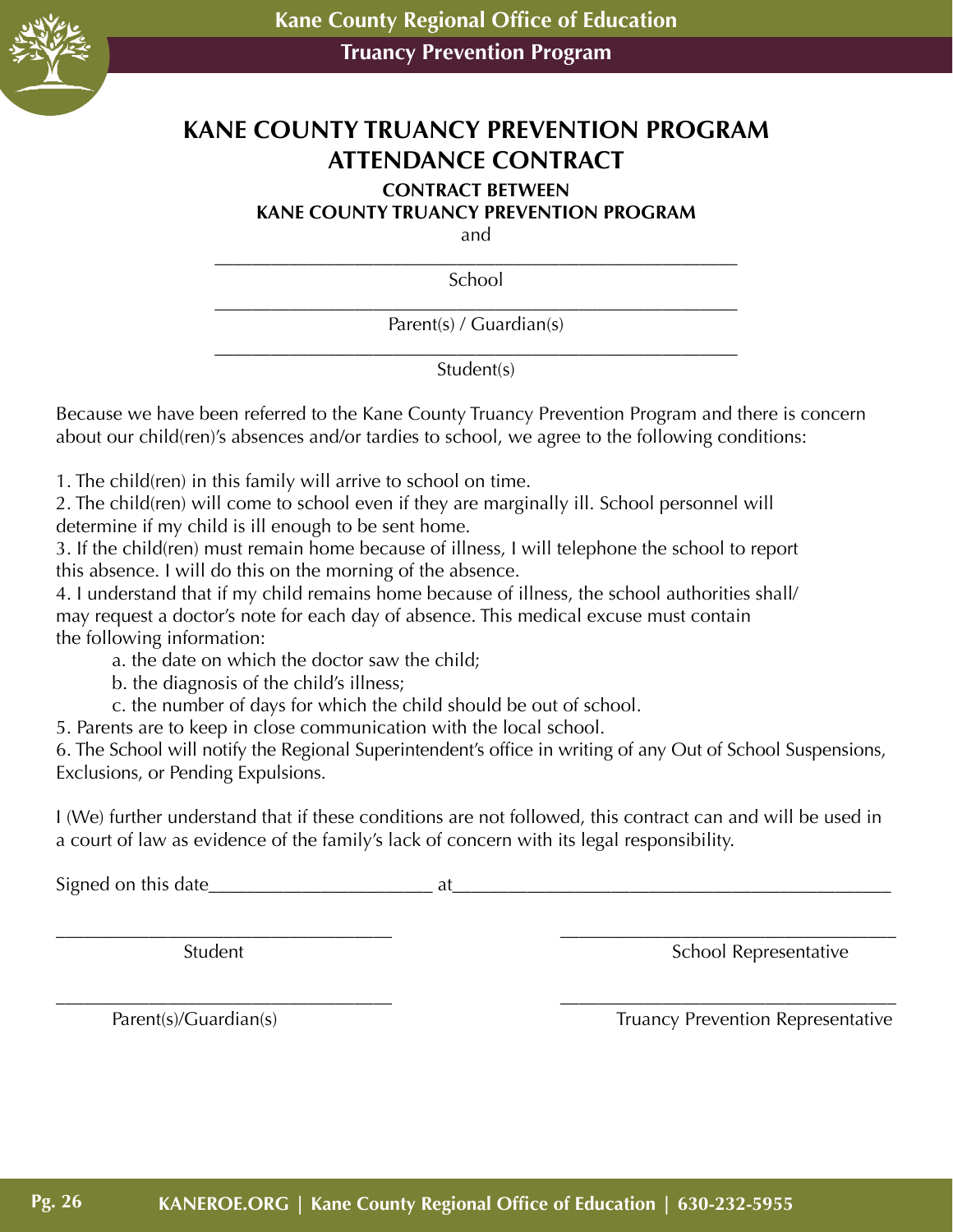

# **KANE COUNTY TRUANCY PREVENTION PROGRAM ATTENDANCE CONTRACT**

#### **CONTRACT BETWEEN**

**KANE COUNTY TRUANCY PREVENTION PROGRAM**

and

\_\_\_\_\_\_\_\_\_\_\_\_\_\_\_\_\_\_\_\_\_\_\_\_\_\_\_\_\_\_\_\_\_\_\_\_\_\_\_\_\_\_\_\_\_\_\_\_\_\_\_\_\_\_\_\_ School

\_\_\_\_\_\_\_\_\_\_\_\_\_\_\_\_\_\_\_\_\_\_\_\_\_\_\_\_\_\_\_\_\_\_\_\_\_\_\_\_\_\_\_\_\_\_\_\_\_\_\_\_\_\_\_\_ Parent(s) / Guardian(s)

\_\_\_\_\_\_\_\_\_\_\_\_\_\_\_\_\_\_\_\_\_\_\_\_\_\_\_\_\_\_\_\_\_\_\_\_\_\_\_\_\_\_\_\_\_\_\_\_\_\_\_\_\_\_\_\_ Student(s)

Because we have been referred to the Kane County Truancy Prevention Program and there is concern about our child(ren)'s absences and/or tardies to school, we agree to the following conditions:

1. The child(ren) in this family will arrive to school on time.

2. The child(ren) will come to school even if they are marginally ill. School personnel will determine if my child is ill enough to be sent home.

3. If the child(ren) must remain home because of illness, I will telephone the school to report this absence. I will do this on the morning of the absence.

4. I understand that if my child remains home because of illness, the school authorities shall/ may request a doctor's note for each day of absence. This medical excuse must contain the following information:

a. the date on which the doctor saw the child;

b. the diagnosis of the child's illness;

c. the number of days for which the child should be out of school.

5. Parents are to keep in close communication with the local school.

6. The School will notify the Regional Superintendent's office in writing of any Out of School Suspensions, Exclusions, or Pending Expulsions.

I (We) further understand that if these conditions are not followed, this contract can and will be used in a court of law as evidence of the family's lack of concern with its legal responsibility.

\_\_\_\_\_\_\_\_\_\_\_\_\_\_\_\_\_\_\_\_\_\_\_\_\_\_\_\_\_\_\_\_\_\_\_\_ \_\_\_\_\_\_\_\_\_\_\_\_\_\_\_\_\_\_\_\_\_\_\_\_\_\_\_\_\_\_\_\_\_\_\_\_

Signed on this date\_\_\_\_\_\_\_\_\_\_\_\_\_\_\_\_\_\_\_\_\_\_\_\_ at\_\_\_\_\_\_\_\_\_\_\_\_\_\_\_\_\_\_\_\_\_\_\_\_\_\_\_\_\_\_\_\_\_\_\_\_\_\_\_\_\_\_\_\_\_\_\_

\_\_\_\_\_\_\_\_\_\_\_\_\_\_\_\_\_\_\_\_\_\_\_\_\_\_\_\_\_\_\_\_\_\_\_\_ \_\_\_\_\_\_\_\_\_\_\_\_\_\_\_\_\_\_\_\_\_\_\_\_\_\_\_\_\_\_\_\_\_\_\_\_ Student Student School Representative

Parent(s)/Guardian(s) Truancy Prevention Representative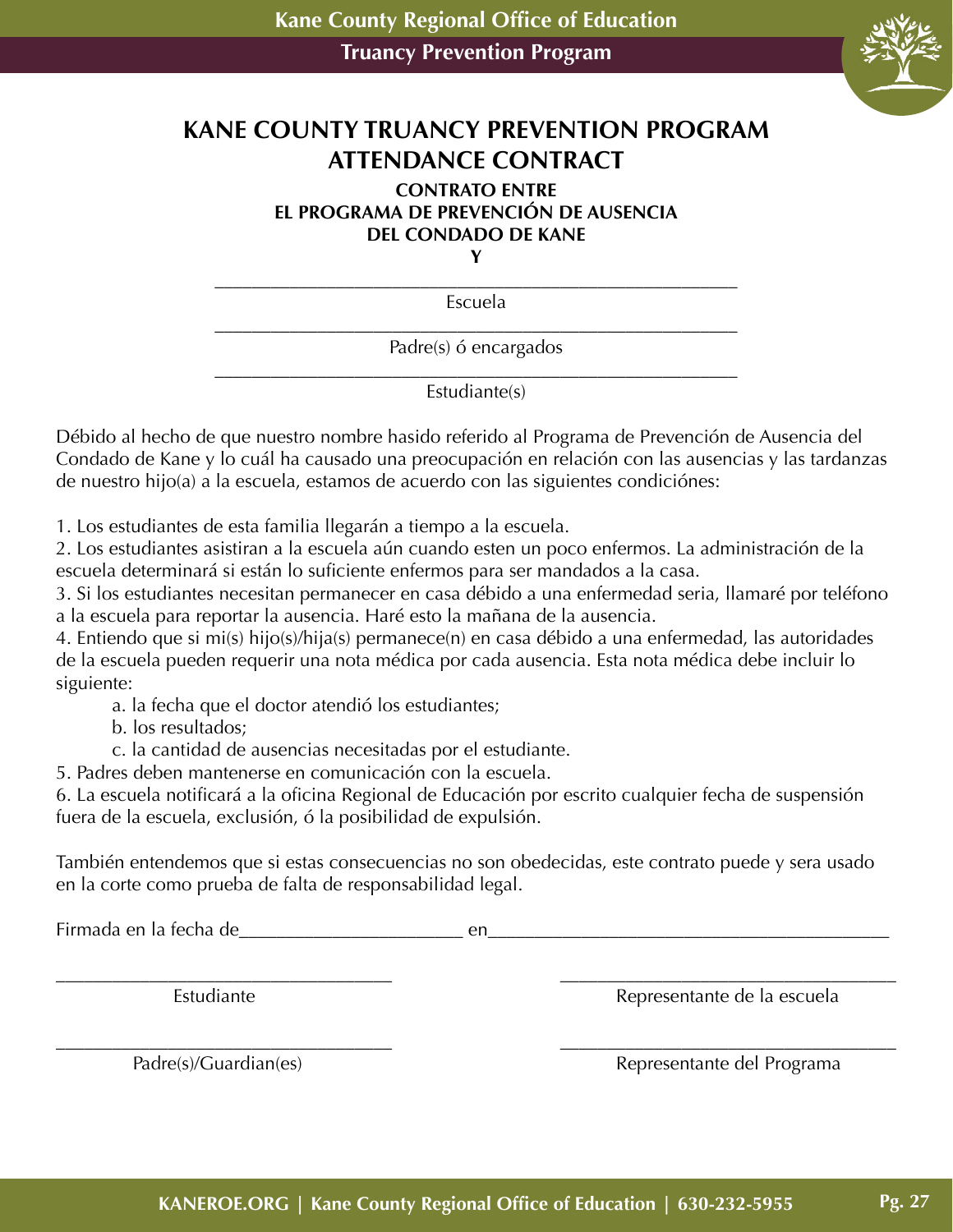

# **KANE COUNTY TRUANCY PREVENTION PROGRAM ATTENDANCE CONTRACT**

#### **CONTRATO ENTRE EL PROGRAMA DE PREVENCIÓN DE AUSENCIA DEL CONDADO DE KANE Y**

\_\_\_\_\_\_\_\_\_\_\_\_\_\_\_\_\_\_\_\_\_\_\_\_\_\_\_\_\_\_\_\_\_\_\_\_\_\_\_\_\_\_\_\_\_\_\_\_\_\_\_\_\_\_\_\_

Escuela

\_\_\_\_\_\_\_\_\_\_\_\_\_\_\_\_\_\_\_\_\_\_\_\_\_\_\_\_\_\_\_\_\_\_\_\_\_\_\_\_\_\_\_\_\_\_\_\_\_\_\_\_\_\_\_\_ Padre(s) ó encargados

\_\_\_\_\_\_\_\_\_\_\_\_\_\_\_\_\_\_\_\_\_\_\_\_\_\_\_\_\_\_\_\_\_\_\_\_\_\_\_\_\_\_\_\_\_\_\_\_\_\_\_\_\_\_\_\_ Estudiante(s)

Débido al hecho de que nuestro nombre hasido referido al Programa de Prevención de Ausencia del Condado de Kane y lo cuál ha causado una preocupación en relación con las ausencias y las tardanzas de nuestro hijo(a) a la escuela, estamos de acuerdo con las siguientes condiciónes:

1. Los estudiantes de esta familia llegarán a tiempo a la escuela.

2. Los estudiantes asistiran a la escuela aún cuando esten un poco enfermos. La administración de la escuela determinará si están lo suficiente enfermos para ser mandados a la casa.

3. Si los estudiantes necesitan permanecer en casa débido a una enfermedad seria, llamaré por teléfono a la escuela para reportar la ausencia. Haré esto la mañana de la ausencia.

4. Entiendo que si mi(s) hijo(s)/hija(s) permanece(n) en casa débido a una enfermedad, las autoridades de la escuela pueden requerir una nota médica por cada ausencia. Esta nota médica debe incluir lo siguiente:

a. la fecha que el doctor atendió los estudiantes;

b. los resultados;

c. la cantidad de ausencias necesitadas por el estudiante.

5. Padres deben mantenerse en comunicación con la escuela.

6. La escuela notificará a la oficina Regional de Educación por escrito cualquier fecha de suspensión fuera de la escuela, exclusión, ó la posibilidad de expulsión.

También entendemos que si estas consecuencias no son obedecidas, este contrato puede y sera usado en la corte como prueba de falta de responsabilidad legal.

Firmada en la fecha de entra en entra en entra en entra en entra en entra en entra en entra en entra en entra

\_\_\_\_\_\_\_\_\_\_\_\_\_\_\_\_\_\_\_\_\_\_\_\_\_\_\_\_\_\_\_\_\_\_\_\_ \_\_\_\_\_\_\_\_\_\_\_\_\_\_\_\_\_\_\_\_\_\_\_\_\_\_\_\_\_\_\_\_\_\_\_\_ Estudiante de la escuela este establecente de la escuela establecente de la escuela establecente de la escuela

\_\_\_\_\_\_\_\_\_\_\_\_\_\_\_\_\_\_\_\_\_\_\_\_\_\_\_\_\_\_\_\_\_\_\_\_ \_\_\_\_\_\_\_\_\_\_\_\_\_\_\_\_\_\_\_\_\_\_\_\_\_\_\_\_\_\_\_\_\_\_\_\_

Padre(s)/Guardian(es) and a Representante del Programa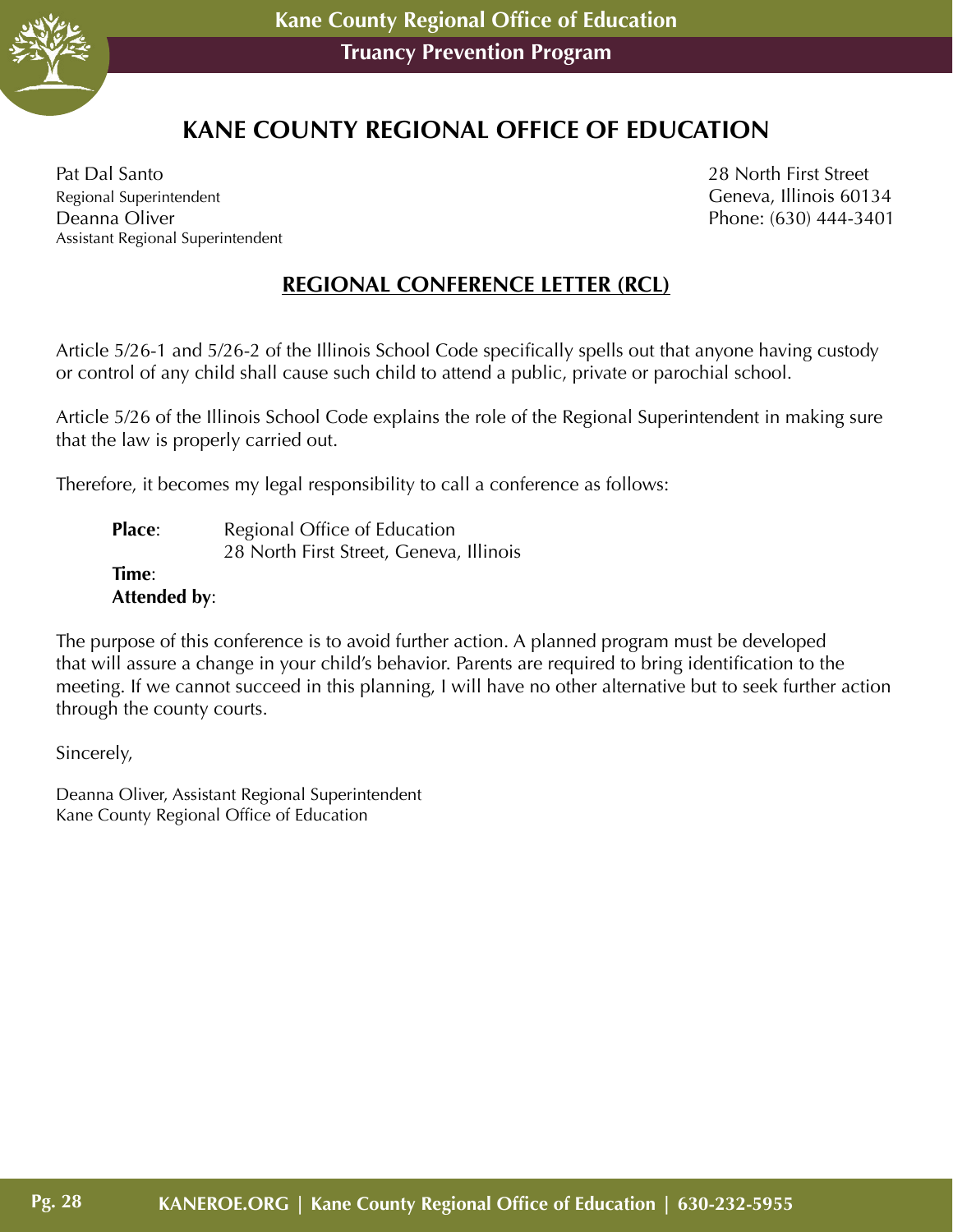

# **KANE COUNTY REGIONAL OFFICE OF EDUCATION**

Pat Dal Santo 28 North First Street Regional Superintendent Communication Ceneva, Illinois 60134 Deanna Oliver Phone: (630) 444-3401 Assistant Regional Superintendent

#### **REGIONAL CONFERENCE LETTER (RCL)**

Article 5/26-1 and 5/26-2 of the Illinois School Code specifically spells out that anyone having custody or control of any child shall cause such child to attend a public, private or parochial school.

Article 5/26 of the Illinois School Code explains the role of the Regional Superintendent in making sure that the law is properly carried out.

Therefore, it becomes my legal responsibility to call a conference as follows:

**Place:** Regional Office of Education 28 North First Street, Geneva, Illinois **Time**: **Attended by**:

The purpose of this conference is to avoid further action. A planned program must be developed that will assure a change in your child's behavior. Parents are required to bring identification to the meeting. If we cannot succeed in this planning, I will have no other alternative but to seek further action through the county courts.

Sincerely,

Deanna Oliver, Assistant Regional Superintendent Kane County Regional Office of Education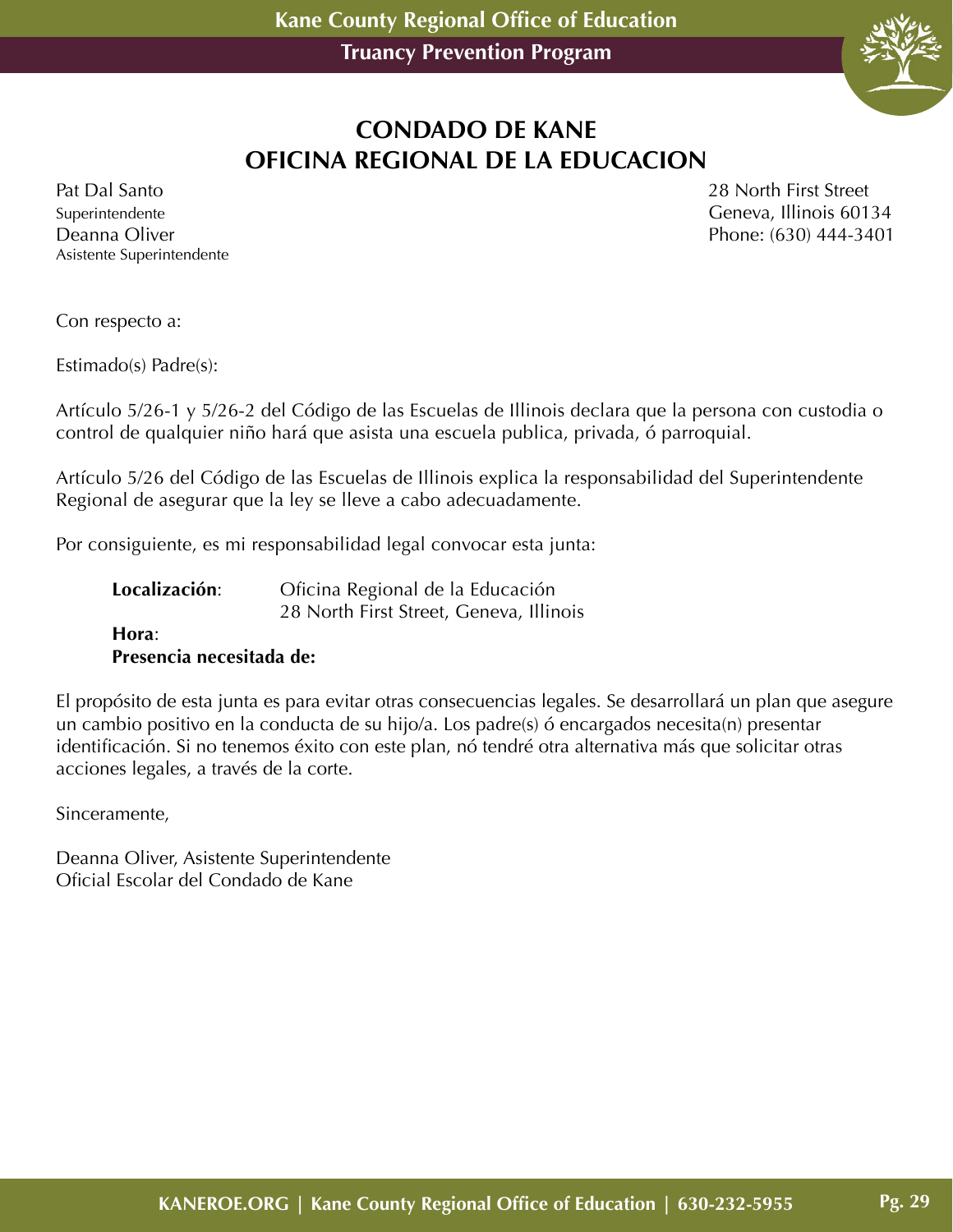

# **CONDADO DE KANE OFICINA REGIONAL DE LA EDUCACION**

Asistente Superintendente

Pat Dal Santo 28 North First Street Superintendente Geneva, Illinois 60134 Deanna Oliver Phone: (630) 444-3401

Con respecto a:

Estimado(s) Padre(s):

Artículo 5/26-1 y 5/26-2 del Código de las Escuelas de Illinois declara que la persona con custodia o control de qualquier niño hará que asista una escuela publica, privada, ó parroquial.

Artículo 5/26 del Código de las Escuelas de Illinois explica la responsabilidad del Superintendente Regional de asegurar que la ley se lleve a cabo adecuadamente.

Por consiguiente, es mi responsabilidad legal convocar esta junta:

| Localización: | Oficina Regional de la Educación        |
|---------------|-----------------------------------------|
|               | 28 North First Street, Geneva, Illinois |
|               |                                         |

#### **Hora**: **Presencia necesitada de:**

El propósito de esta junta es para evitar otras consecuencias legales. Se desarrollará un plan que asegure un cambio positivo en la conducta de su hijo/a. Los padre(s) ó encargados necesita(n) presentar identificación. Si no tenemos éxito con este plan, nó tendré otra alternativa más que solicitar otras acciones legales, a través de la corte.

Sinceramente,

Deanna Oliver, Asistente Superintendente Oficial Escolar del Condado de Kane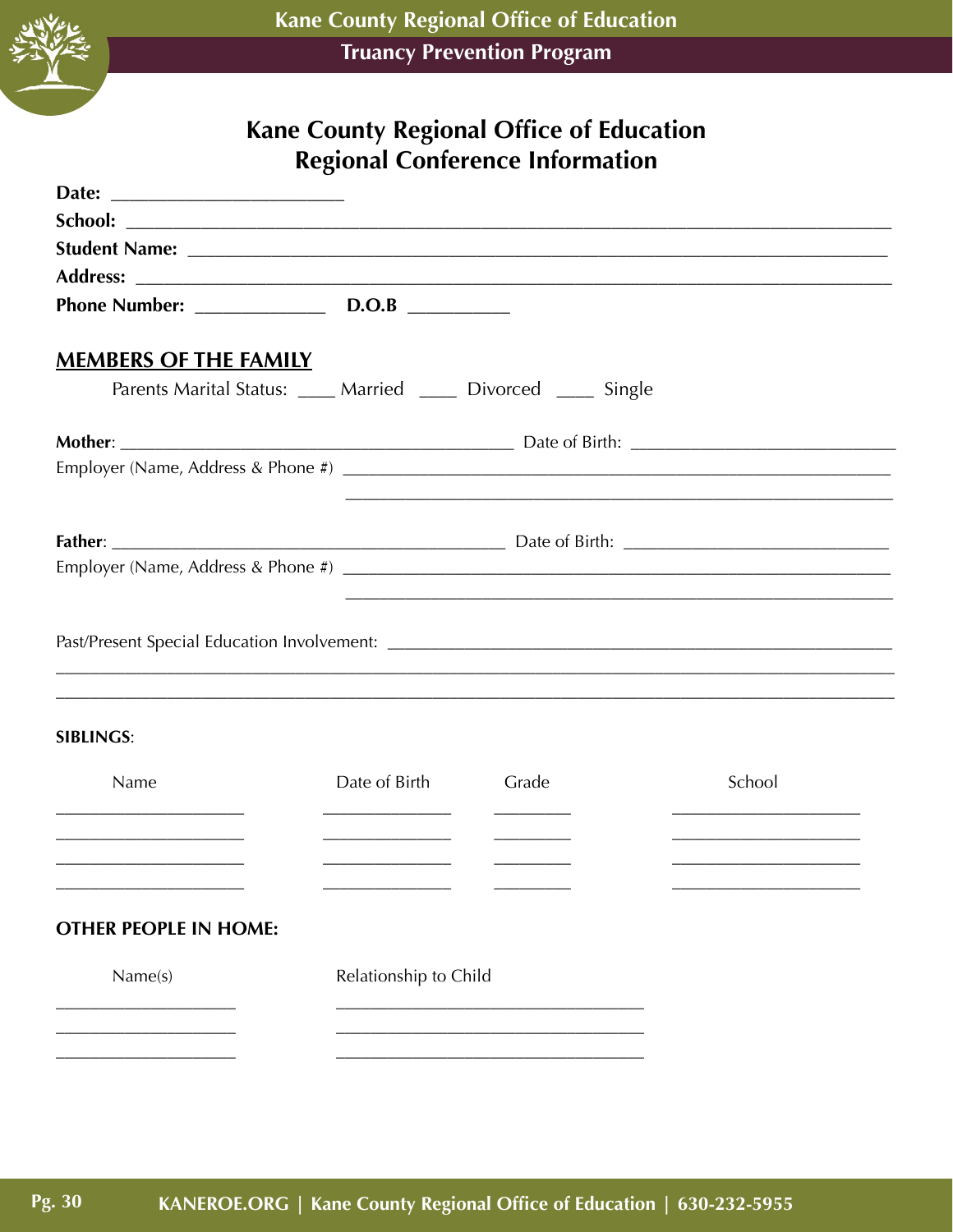

# Kane County Regional Office of Education Regional Conference Information

| Date:                        |                                                                |       |                                                             |
|------------------------------|----------------------------------------------------------------|-------|-------------------------------------------------------------|
|                              |                                                                |       |                                                             |
|                              |                                                                |       |                                                             |
|                              |                                                                |       |                                                             |
|                              |                                                                |       |                                                             |
| <b>MEMBERS OF THE FAMILY</b> |                                                                |       |                                                             |
|                              | Parents Marital Status: ____ Married ____ Divorced ____ Single |       |                                                             |
|                              |                                                                |       |                                                             |
|                              |                                                                |       | <u> 1989 - Johann Stoff, amerikansk politiker (d. 1989)</u> |
|                              |                                                                |       |                                                             |
|                              |                                                                |       |                                                             |
|                              |                                                                |       |                                                             |
| <b>SIBLINGS:</b>             |                                                                |       |                                                             |
| Name                         | Date of Birth                                                  | Grade | School                                                      |
|                              |                                                                |       |                                                             |
|                              |                                                                |       |                                                             |
| <b>OTHER PEOPLE IN HOME:</b> |                                                                |       |                                                             |
| Name(s)                      | Relationship to Child                                          |       |                                                             |
|                              |                                                                |       |                                                             |
|                              |                                                                |       |                                                             |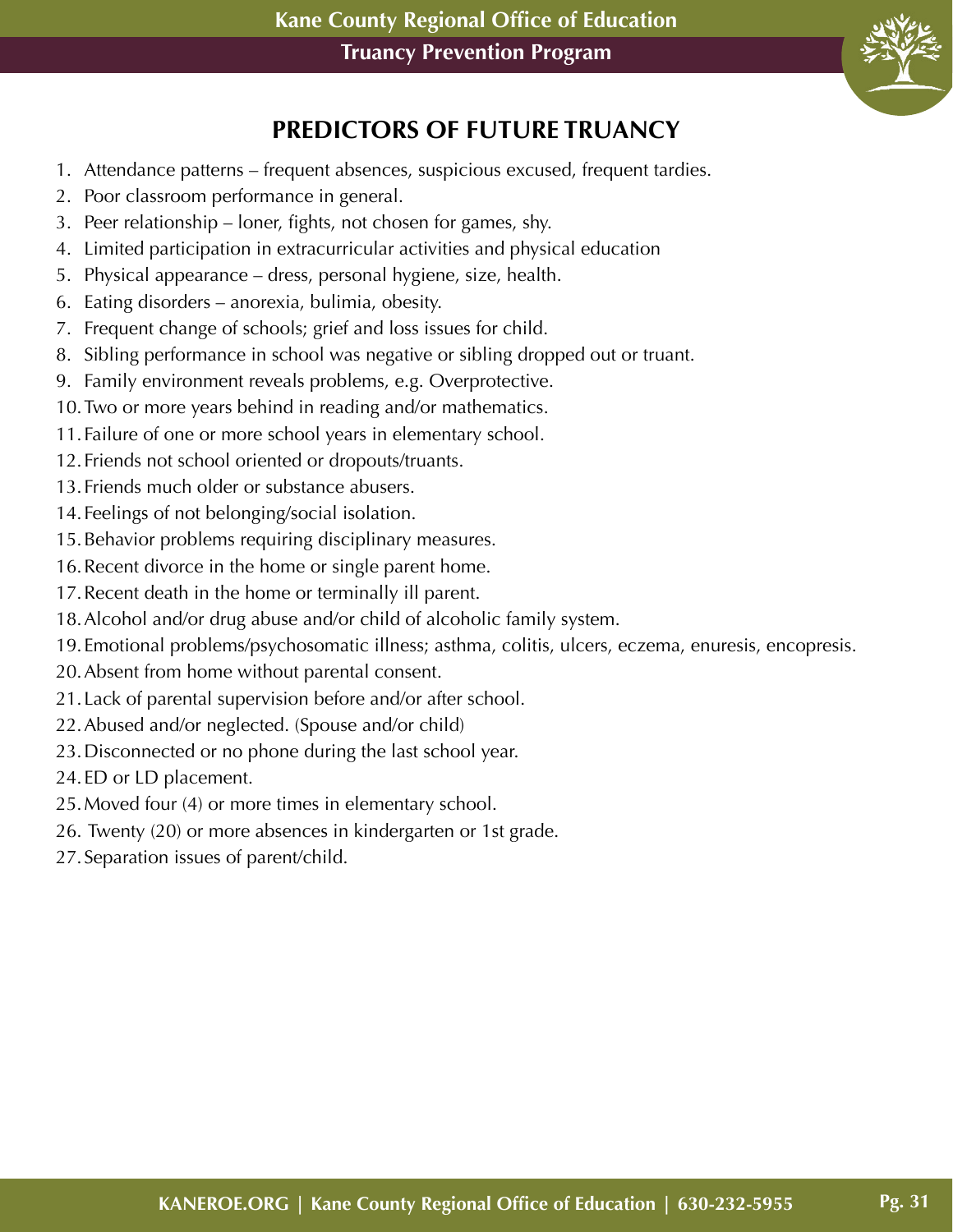

# **PREDICTORS OF FUTURE TRUANCY**

- 1. Attendance patterns frequent absences, suspicious excused, frequent tardies.
- 2. Poor classroom performance in general.
- 3. Peer relationship loner, fights, not chosen for games, shy.
- 4. Limited participation in extracurricular activities and physical education
- 5. Physical appearance dress, personal hygiene, size, health.
- 6. Eating disorders anorexia, bulimia, obesity.
- 7. Frequent change of schools; grief and loss issues for child.
- 8. Sibling performance in school was negative or sibling dropped out or truant.
- 9. Family environment reveals problems, e.g. Overprotective.
- 10.Two or more years behind in reading and/or mathematics.
- 11.Failure of one or more school years in elementary school.
- 12.Friends not school oriented or dropouts/truants.
- 13.Friends much older or substance abusers.
- 14.Feelings of not belonging/social isolation.
- 15.Behavior problems requiring disciplinary measures.
- 16.Recent divorce in the home or single parent home.
- 17.Recent death in the home or terminally ill parent.
- 18.Alcohol and/or drug abuse and/or child of alcoholic family system.
- 19.Emotional problems/psychosomatic illness; asthma, colitis, ulcers, eczema, enuresis, encopresis.
- 20.Absent from home without parental consent.
- 21.Lack of parental supervision before and/or after school.
- 22.Abused and/or neglected. (Spouse and/or child)
- 23.Disconnected or no phone during the last school year.
- 24.ED or LD placement.
- 25.Moved four (4) or more times in elementary school.
- 26. Twenty (20) or more absences in kindergarten or 1st grade.
- 27.Separation issues of parent/child.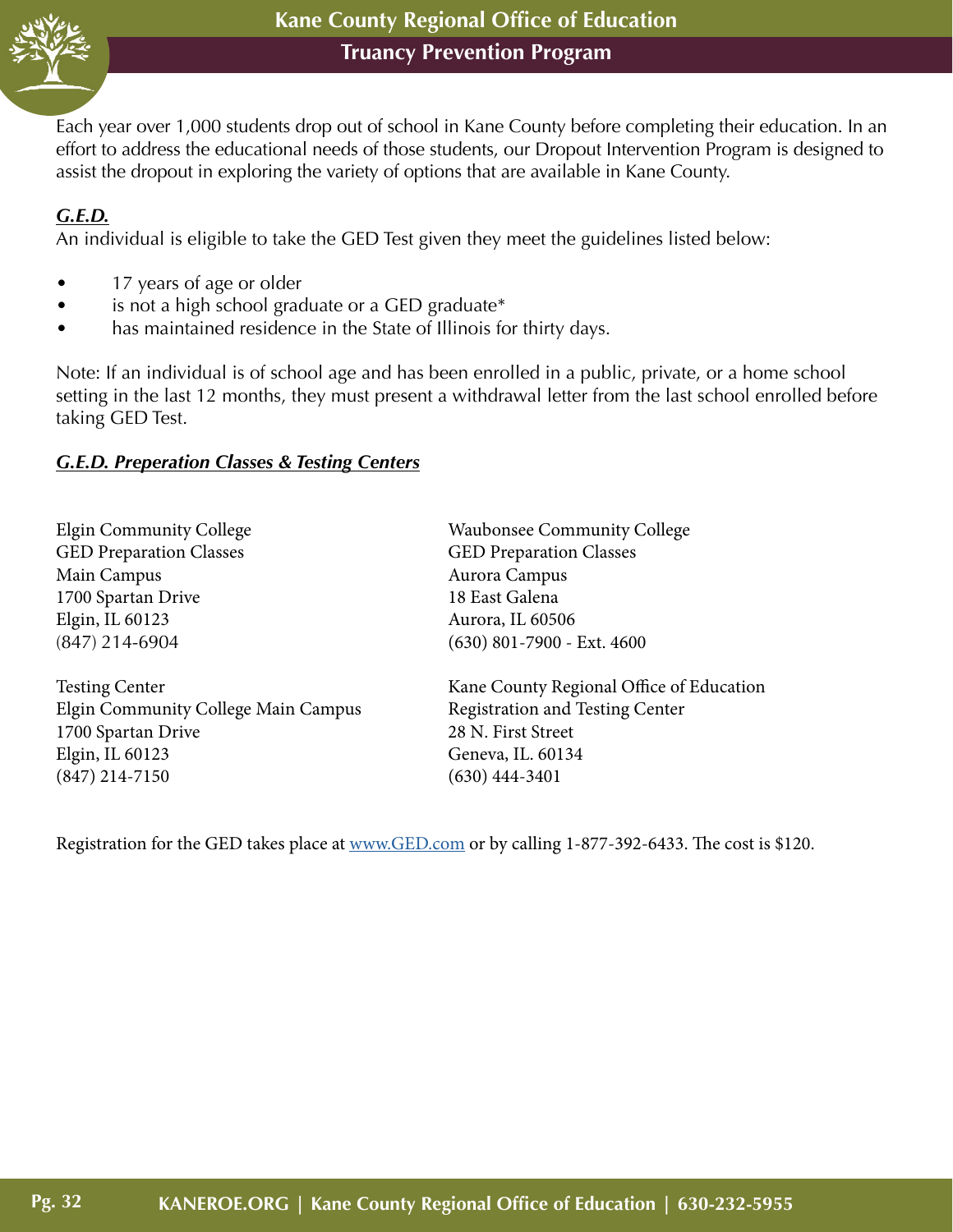

Each year over 1,000 students drop out of school in Kane County before completing their education. In an effort to address the educational needs of those students, our Dropout Intervention Program is designed to assist the dropout in exploring the variety of options that are available in Kane County.

#### *G.E.D.*

An individual is eligible to take the GED Test given they meet the guidelines listed below:

- 17 years of age or older
- is not a high school graduate or a GED graduate\*
- has maintained residence in the State of Illinois for thirty days.

Note: If an individual is of school age and has been enrolled in a public, private, or a home school setting in the last 12 months, they must present a withdrawal letter from the last school enrolled before taking GED Test.

#### *G.E.D. Preperation Classes & Testing Centers*

| <b>Elgin Community College</b>      | <b>Waubonsee Community College</b>       |
|-------------------------------------|------------------------------------------|
| <b>GED Preparation Classes</b>      | <b>GED Preparation Classes</b>           |
| Main Campus                         | Aurora Campus                            |
| 1700 Spartan Drive                  | 18 East Galena                           |
| Elgin, IL 60123                     | Aurora, IL 60506                         |
| $(847)$ 214-6904                    | $(630)$ 801-7900 - Ext. 4600             |
| <b>Testing Center</b>               | Kane County Regional Office of Education |
| Elgin Community College Main Campus | <b>Registration and Testing Center</b>   |
| 1700 Spartan Drive                  | 28 N. First Street                       |
| Elgin, IL 60123                     | Geneva, IL. 60134                        |
| $(847)$ 214-7150                    | $(630)$ 444-3401                         |
|                                     |                                          |

Registration for the GED takes place at [www.GED.com](http://www.GED.com) or by calling 1-877-392-6433. The cost is \$120.